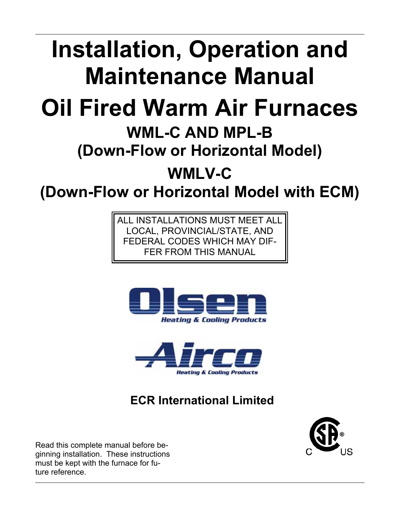# **Installation, Operation and Maintenance Manual**

# **Oil Fired Warm Air Furnaces**

# **WML-C AND MPL-B**

## **(Down-Flow or Horizontal Model)**

**WMLV-C** 

**(Down-Flow or Horizontal Model with ECM)**

ALL INSTALLATIONS MUST MEET ALL LOCAL, PROVINCIAL/STATE, AND FEDERAL CODES WHICH MAY DIF-FER FROM THIS MANUAL





## **ECR International Limited**



Read this complete manual before beginning installation. These instructions must be kept with the furnace for future reference.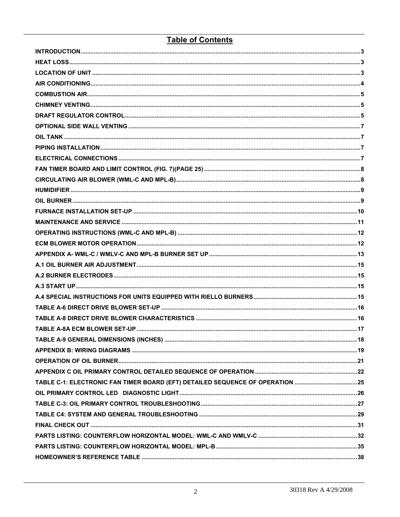## **Table of Contents**

| TABLE C-1: ELECTRONIC FAN TIMER BOARD (EFT) DETAILED SEQUENCE OF OPERATION 25 |  |
|-------------------------------------------------------------------------------|--|
|                                                                               |  |
|                                                                               |  |
|                                                                               |  |
|                                                                               |  |
|                                                                               |  |
|                                                                               |  |
|                                                                               |  |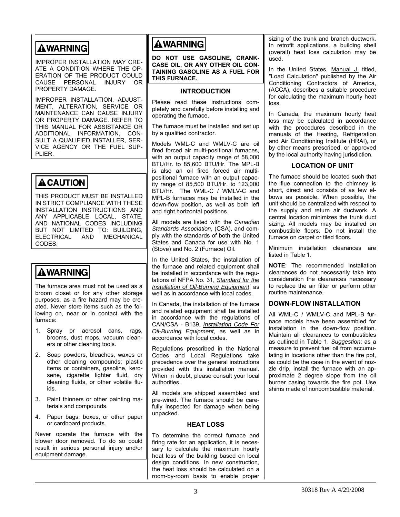## <span id="page-2-0"></span>**AWARNING**

IMPROPER INSTALLATION MAY CRE-ATE A CONDITION WHERE THE OP-ERATION OF THE PRODUCT COULD CAUSE PERSONAL INJURY OR PROPERTY DAMAGE.

<span id="page-2-1"></span>IMPROPER INSTALLATION, ADJUST-MENT, ALTERATION, SERVICE OR MAINTENANCE CAN CAUSE INJURY OR PROPERTY DAMAGE. REFER TO THIS MANUAL FOR ASSISTANCE OR ADDITIONAL INFORMATION, CON-SULT A QUALIFIED INSTALLER, SER-VICE AGENCY OR THE FUEL SUP-PLIER.

## <span id="page-2-3"></span>**ACAUTION**

THIS PRODUCT MUST BE INSTALLED IN STRICT COMPLIANCE WITH THESE INSTALLATION INSTRUCTIONS AND ANY APPLICABLE LOCAL, STATE, AND NATIONAL CODES INCLUDING BUT NOT LIMITED TO: BUILDING,<br>FLECTRICAL AND MECHANICAL ELECTRICAL AND CODES.

## **AWARNING**

The furnace area must not be used as a broom closet or for any other storage purposes, as a fire hazard may be created. Never store items such as the following on, near or in contact with the furnace:

- 1. Spray or aerosol cans, rags, brooms, dust mops, vacuum cleaners or other cleaning tools.
- 2. Soap powders, bleaches, waxes or other cleaning compounds; plastic items or containers, gasoline, kerosene, cigarette lighter fluid, dry cleaning fluids, or other volatile fluids.
- 3. Paint thinners or other painting materials and compounds.
- 4. Paper bags, boxes, or other paper or cardboard products.

<span id="page-2-2"></span>Never operate the furnace with the blower door removed. To do so could result in serious personal injury and/or equipment damage.

## **AWARNING**

**DO NOT USE GASOLINE, CRANK-CASE OIL, OR ANY OTHER OIL CON-TAINING GASOLINE AS A FUEL FOR THIS FURNACE.** 

### **INTRODUCTION**

Please read these instructions completely and carefully before installing and operating the furnace.

The furnace must be installed and set up by a qualified contractor.

Models WML-C and WMLV-C are oil fired forced air multi-positional furnaces, with an output capacity range of 58,000 BTU/Hr. to 85,600 BTU/Hr. The MPL-B is also an oil fired forced air multipositional furnace with an output capacity range of 85,500 BTU/Hr. to 123,000 BTU/Hr. The WML-C / WMLV-C and MPL-B furnaces may be installed in the down-flow position, as well as both left and right horizontal positions.

All models are listed with the *Canadian Standards Association*, (CSA), and comply with the standards of both the United States and Canada for use with No. 1 (Stove) and No. 2 (Furnace) Oil.

In the United States, the installation of the furnace and related equipment shall be installed in accordance with the regulations of NFPA No. 31, *Standard for the Installation of Oil-Burning Equipment*, as well as in accordance with local codes.

In Canada, the installation of the furnace and related equipment shall be installed in accordance with the regulations of CAN/CSA - B139, *Installation Code For Oil-Burning Equipment*, as well as in accordance with local codes.

Regulations prescribed in the National Codes and Local Regulations take precedence over the general instructions provided with this installation manual. When in doubt, please consult your local authorities.

All models are shipped assembled and pre-wired. The furnace should be carefully inspected for damage when being unpacked.

#### **HEAT LOSS**

To determine the correct furnace and firing rate for an application, it is necessary to calculate the maximum hourly heat loss of the building based on local design conditions. In new construction, the heat loss should be calculated on a room-by-room basis to enable proper sizing of the trunk and branch ductwork. In retrofit applications, a building shell (overall) heat loss calculation may be used.

In the United States, Manual J. titled, "Load Calculation" published by the Air Conditioning Contractors of America, (ACCA), describes a suitable procedure for calculating the maximum hourly heat loss.

In Canada, the maximum hourly heat loss may be calculated in accordance with the procedures described in the manuals of the Heating, Refrigeration and Air Conditioning Institute (HRAI), or by other means prescribed, or approved by the local authority having jurisdiction.

### **LOCATION OF UNIT**

The furnace should be located such that the flue connection to the chimney is short, direct and consists of as few elbows as possible. When possible, the unit should be centralized with respect to the supply and return air ductwork. A central location minimizes the trunk duct sizing. All models may be installed on combustible floors. Do not install the furnace on carpet or tiled floors.

Minimum installation clearances are listed in Table 1.

**NOTE**: The recommended installation clearances do not necessarily take into consideration the clearances necessary to replace the air filter or perform other routine maintenance.

#### **DOWN-FLOW INSTALLATION**

All WML-C / WMLV-C and MPL-B furnace models have been assembled for installation in the down-flow position. Maintain all clearances to combustibles as outlined in Table 1. *Suggestion*; as a measure to prevent fuel oil from accumulating in locations other than the fire pot, as could be the case in the event of nozzle drip, install the furnace with an approximate 2 degree slope from the oil burner casing towards the fire pot. Use shims made of noncombustible material.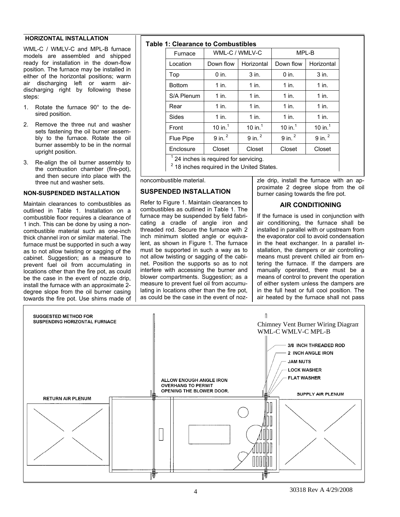#### <span id="page-3-0"></span>**HORIZONTAL INSTALLATION**

WML-C / WMLV-C and MPL-B furnace models are assembled and shipped ready for installation in the down-flow position. The furnace may be installed in either of the horizontal positions; warm air discharging left or warm airdischarging right by following these steps:

- 1. Rotate the furnace 90° to the desired position.
- 2. Remove the three nut and washer sets fastening the oil burner assembly to the furnace. Rotate the oil burner assembly to be in the normal upright position.
- 3. Re-align the oil burner assembly to the combustion chamber (fire-pot), and then secure into place with the three nut and washer sets.

#### **NON-SUSPENDED INSTALLATION**

<span id="page-3-1"></span>Maintain clearances to combustibles as outlined in Table 1. Installation on a combustible floor requires a clearance of 1 inch. This can be done by using a noncombustible material such as one-inch thick channel iron or similar material. The furnace must be supported in such a way as to not allow twisting or sagging of the cabinet. Suggestion; as a measure to prevent fuel oil from accumulating in locations other than the fire pot, as could be the case in the event of nozzle drip, install the furnace with an approximate 2 degree slope from the oil burner casing towards the fire pot. Use shims made of

## **Table 1: Clearance to Combustibles**

| e 1: Glearance to Compustibles |                      |                      |                      |                      |  |  |  |  |  |  |
|--------------------------------|----------------------|----------------------|----------------------|----------------------|--|--|--|--|--|--|
| Furnace                        | WML-C / WMLV-C       |                      | MPL-B                |                      |  |  |  |  |  |  |
| Location                       | Down flow            | Horizontal           | Down flow            | Horizontal           |  |  |  |  |  |  |
| Top                            | $0$ in.              | 3 in.                | $0$ in.              | $3$ in.              |  |  |  |  |  |  |
| <b>Bottom</b>                  | $1$ in.              | $1$ in.              | $1$ in.              | $1$ in.              |  |  |  |  |  |  |
| S/A Plenum                     | $1$ in.              | $1$ in.              | $1$ in.              | $1$ in.              |  |  |  |  |  |  |
| Rear                           | $1$ in.              | $1$ in.              | $1$ in.              | $1$ in.              |  |  |  |  |  |  |
| Sides                          | $1$ in.              | $1$ in.              | $1$ in.              | $1$ in.              |  |  |  |  |  |  |
| Front                          | 10 in. $1$           | 10 in. $1$           | 10 in. $1$           | 10 in. $1$           |  |  |  |  |  |  |
| Flue Pipe                      | $9$ in. <sup>2</sup> | $9$ in. <sup>2</sup> | $9$ in. <sup>2</sup> | $9$ in. <sup>2</sup> |  |  |  |  |  |  |
| Enclosure                      | Closet               | Closet               | Closet               | Closet               |  |  |  |  |  |  |
| $\overline{a}$                 |                      |                      |                      |                      |  |  |  |  |  |  |

1 24 inches is required for servicing.

2 18 inches required in the United States.

noncombustible material.

#### **SUSPENDED INSTALLATION**

Refer to Figure 1. Maintain clearances to combustibles as outlined in Table 1. The furnace may be suspended by field fabricating a cradle of angle iron and threaded rod. Secure the furnace with 2 inch minimum slotted angle or equivalent, as shown in Figure 1. The furnace must be supported in such a way as to not allow twisting or sagging of the cabinet. Position the supports so as to not interfere with accessing the burner and blower compartments. Suggestion; as a measure to prevent fuel oil from accumulating in locations other than the fire pot, as could be the case in the event of nozzle drip, install the furnace with an approximate 2 degree slope from the oil burner casing towards the fire pot.

### **AIR CONDITIONING**

If the furnace is used in conjunction with air conditioning, the furnace shall be installed in parallel with or upstream from the evaporator coil to avoid condensation in the heat exchanger. In a parallel installation, the dampers or air controlling means must prevent chilled air from entering the furnace. If the dampers are manually operated, there must be a means of control to prevent the operation of either system unless the dampers are in the full heat or full cool position. The air heated by the furnace shall not pass

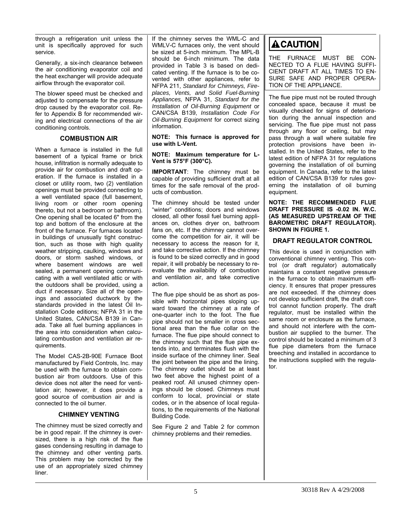<span id="page-4-0"></span>through a refrigeration unit unless the unit is specifically approved for such service.

Generally, a six-inch clearance between the air conditioning evaporator coil and the heat exchanger will provide adequate airflow through the evaporator coil.

The blower speed must be checked and adjusted to compensate for the pressure drop caused by the evaporator coil. Refer to Appendix B for recommended wiring and electrical connections of the air conditioning controls.

### **COMBUSTION AIR**

<span id="page-4-3"></span><span id="page-4-1"></span>When a furnace is installed in the full basement of a typical frame or brick house, infiltration is normally adequate to provide air for combustion and draft operation. If the furnace is installed in a closet or utility room, two (2) ventilation openings must be provided connecting to a well ventilated space (full basement, living room or other room opening thereto, but not a bedroom or bathroom). One opening shall be located 6" from the top and bottom of the enclosure at the front of the furnace. For furnaces located in buildings of unusually tight construction, such as those with high quality weather stripping, caulking, windows and doors, or storm sashed windows, or where basement windows are well sealed, a permanent opening communicating with a well ventilated attic or with the outdoors shall be provided, using a duct if necessary. Size all of the openings and associated ductwork by the standards provided in the latest Oil Installation Code editions; NFPA 31 in the United States, CAN/CSA B139 in Canada. Take all fuel burning appliances in the area into consideration when calculating combustion and ventilation air requirements.

The Model CAS-2B-90E Furnace Boot manufactured by Field Controls, Inc. may be used with the furnace to obtain combustion air from outdoors. Use of this device does not alter the need for ventilation air; however, it does provide a good source of combustion air and is connected to the oil burner.

### **CHIMNEY VENTING**

<span id="page-4-2"></span>The chimney must be sized correctly and be in good repair. If the chimney is oversized, there is a high risk of the flue gases condensing resulting in damage to the chimney and other venting parts. This problem may be corrected by the use of an appropriately sized chimney liner.

If the chimney serves the WML-C and WMLV-C furnaces only, the vent should be sized at 5-inch minimum. The MPL-B should be 6-inch minimum. The data provided in Table 3 is based on dedicated venting. If the furnace is to be covented with other appliances, refer to NFPA 211, *Standard for Chimneys, Fireplaces, Vents, and Solid Fuel-Burning Appliances,* NFPA 31, *Standard for the Installation of Oil-Burning Equipment* or CAN/CSA B139, *Installation Code For Oil-Burning Equipment* for correct sizing information.

**NOTE: This furnace is approved for use with L-Vent.** 

#### **NOTE: Maximum temperature for L-Vent is 575°F (300°C).**

**IMPORTANT**: The chimney must be capable of providing sufficient draft at all times for the safe removal of the products of combustion.

The chimney should be tested under "winter" conditions; doors and windows closed, all other fossil fuel burning appliances on, clothes dryer on, bathroom fans on, etc. If the chimney cannot overcome the competition for air, it will be necessary to access the reason for it, and take corrective action. If the chimney is found to be sized correctly and in good repair, it will probably be necessary to reevaluate the availability of combustion and ventilation air, and take corrective action.

The flue pipe should be as short as possible with horizontal pipes sloping upward toward the chimney at a rate of one-quarter inch to the foot. The flue pipe should not be smaller in cross sectional area than the flue collar on the furnace. The flue pipe should connect to the chimney such that the flue pipe extends into, and terminates flush with the inside surface of the chimney liner. Seal the joint between the pipe and the lining. The chimney outlet should be at least two feet above the highest point of a peaked roof. All unused chimney openings should be closed. Chimneys must conform to local, provincial or state codes, or in the absence of local regulations, to the requirements of the National Building Code.

See Figure 2 and Table 2 for common chimney problems and their remedies.

## **ACAUTION**

THE FURNACE MUST BE CON-NECTED TO A FLUE HAVING SUFFI-CIENT DRAFT AT ALL TIMES TO EN-SURE SAFE AND PROPER OPERA-TION OF THE APPLIANCE.

The flue pipe must not be routed through concealed space, because it must be visually checked for signs of deterioration during the annual inspection and servicing. The flue pipe must not pass through any floor or ceiling, but may pass through a wall where suitable fire protection provisions have been installed. In the United States, refer to the latest edition of NFPA 31 for regulations governing the installation of oil burning equipment. In Canada, refer to the latest edition of CAN/CSA B139 for rules governing the installation of oil burning equipment.

**NOTE: THE RECOMMENDED FLUE DRAFT PRESSURE IS -0.02 IN. W.C. (AS MEASURED UPSTREAM OF THE BAROMETRIC DRAFT REGULATOR). SHOWN IN FIGURE 1.** 

## **DRAFT REGULATOR CONTROL**

This device is used in conjunction with conventional chimney venting. This control (or draft regulator) automatically maintains a constant negative pressure in the furnace to obtain maximum efficiency. It ensures that proper pressures are not exceeded. If the chimney does not develop sufficient draft, the draft control cannot function properly. The draft regulator, must be installed within the same room or enclosure as the furnace, and should not interfere with the combustion air supplied to the burner. The control should be located a minimum of 3 flue pipe diameters from the furnace breeching and installed in accordance to the instructions supplied with the regulator.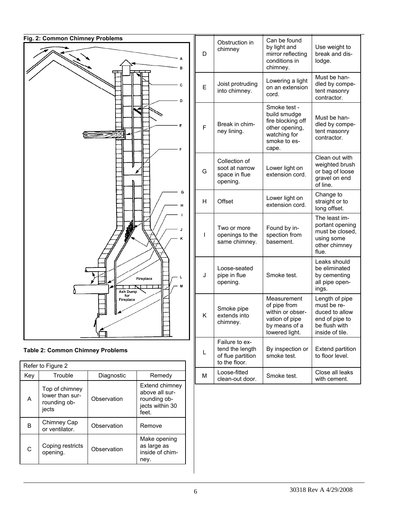

|  | <b>Table 2: Common Chimney Problems</b> |
|--|-----------------------------------------|
|--|-----------------------------------------|

| Refer to Figure 2                 |                                                            |             |                                                                              |  |  |  |  |
|-----------------------------------|------------------------------------------------------------|-------------|------------------------------------------------------------------------------|--|--|--|--|
| Key                               | Trouble                                                    | Diagnostic  | Remedy                                                                       |  |  |  |  |
| A                                 | Top of chimney<br>lower than sur-<br>rounding ob-<br>jects | Observation | Extend chimney<br>above all sur-<br>rounding ob-<br>jects within 30<br>feet. |  |  |  |  |
| в                                 | Chimney Cap<br>or ventilator.                              | Observation | Remove                                                                       |  |  |  |  |
| Coping restricts<br>C<br>opening. |                                                            | Observation | Make opening<br>as large as<br>inside of chim-<br>ney.                       |  |  |  |  |

| D | Obstruction in<br>chimney                                               | Can be found<br>by light and<br>mirror reflecting<br>conditions in<br>chimney.                               | Use weight to<br>break and dis-<br>lodge.                                                             |
|---|-------------------------------------------------------------------------|--------------------------------------------------------------------------------------------------------------|-------------------------------------------------------------------------------------------------------|
| Е | Joist protruding<br>into chimney.                                       | Lowering a light<br>on an extension<br>cord.                                                                 | Must be han-<br>dled by compe-<br>tent masonry<br>contractor.                                         |
| F | Break in chim-<br>ney lining.                                           | Smoke test -<br>build smudge<br>fire blocking off<br>other opening,<br>watching for<br>smoke to es-<br>cape. | Must be han-<br>dled by compe-<br>tent masonry<br>contractor.                                         |
| G | Collection of<br>soot at narrow<br>space in flue<br>opening.            | Lower light on<br>extension cord.                                                                            | Clean out with<br>weighted brush<br>or bag of loose<br>gravel on end<br>of line.                      |
| н | Offset                                                                  | Lower light on<br>extension cord.                                                                            | Change to<br>straight or to<br>long offset.                                                           |
| ı | Two or more<br>openings to the<br>same chimney.                         | Found by in-<br>spection from<br>basement.                                                                   | The least im-<br>portant opening<br>must be closed,<br>using some<br>other chimney<br>flue.           |
| J | Loose-seated<br>pipe in flue<br>opening.                                | Smoke test.                                                                                                  | Leaks should<br>be eliminated<br>by cementing<br>all pipe open-<br>ings.                              |
| κ | Smoke pipe<br>extends into<br>chimney.                                  | Measurement<br>of pipe from<br>within or obser-<br>vation of pipe<br>by means of a<br>lowered light.         | Length of pipe<br>must be re-<br>duced to allow<br>end of pipe to<br>be flush with<br>inside of tile. |
| L | Failure to ex-<br>tend the length<br>of flue partition<br>to the floor. | By inspection or<br>smoke test.                                                                              | <b>Extend partition</b><br>to floor level.                                                            |
| М | Loose-fitted<br>clean-out door.                                         | Smoke test.                                                                                                  | Close all leaks<br>with cement.                                                                       |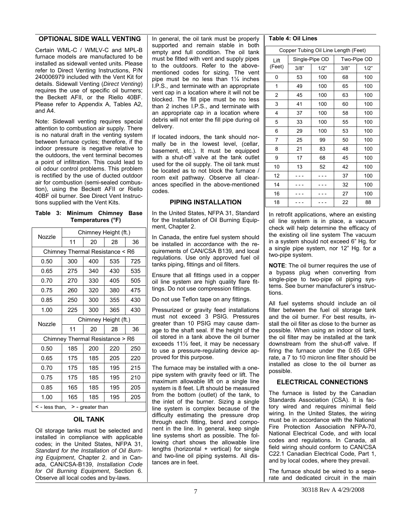#### <span id="page-6-0"></span>**OPTIONAL SIDE WALL VENTING**

<span id="page-6-1"></span>Certain WML-C / WMLV-C and MPL-B furnace models are manufactured to be installed as sidewall vented units. Please refer to Direct Venting Instructions, P/N 240006979 included with the Vent Kit for details. Sidewall Venting (*Direct Venting*) requires the use of specific oil burners; the Beckett AFII, or the Riello 40BF. Please refer to Appendix A, Tables A2, and A4.

Note: Sidewall venting requires special attention to combustion air supply. There is no natural draft in the venting system between furnace cycles; therefore, if the indoor pressure is negative relative to the outdoors, the vent terminal becomes a point of infiltration. This could lead to oil odour control problems. This problem is rectified by the use of ducted outdoor air for combustion (semi-sealed combustion), using the Beckett AFII or Riello 40BF oil burner. See Direct Vent Instructions supplied with the Vent Kits.

<span id="page-6-3"></span>**Table 3: Minimum Chimney Base Temperatures (°F)** 

| Nozzle                                    | Chimney Height (ft.)            |     |     |     |  |  |  |  |
|-------------------------------------------|---------------------------------|-----|-----|-----|--|--|--|--|
|                                           | 11                              | 20  | 28  | 36  |  |  |  |  |
| Chimney Thermal Resistance < R6           |                                 |     |     |     |  |  |  |  |
| 0.50                                      | 300                             | 400 | 535 | 725 |  |  |  |  |
| 0.65                                      | 275                             | 340 | 430 | 535 |  |  |  |  |
| 0.70                                      | 270                             | 330 | 405 | 505 |  |  |  |  |
| 0.75                                      | 260                             | 320 | 380 | 475 |  |  |  |  |
| 0.85                                      | 250                             | 300 | 355 | 430 |  |  |  |  |
| 1.00                                      | 225                             | 300 | 365 | 430 |  |  |  |  |
| Nozzle                                    | Chimney Height (ft.)            |     |     |     |  |  |  |  |
|                                           | 11                              | 20  | 28  | 36  |  |  |  |  |
|                                           | Chimney Thermal Resistance > R6 |     |     |     |  |  |  |  |
| 0.50                                      | 185                             | 200 | 220 | 250 |  |  |  |  |
| 0.65                                      | 175                             | 185 | 205 | 220 |  |  |  |  |
| 0.70                                      | 175                             | 185 | 195 | 215 |  |  |  |  |
| 0.75                                      | 175                             | 185 | 195 | 210 |  |  |  |  |
| 0.85                                      | 165                             | 185 | 195 | 205 |  |  |  |  |
| 1.00                                      | 165                             | 185 | 195 | 205 |  |  |  |  |
| $\leq$ - less than,<br>$>$ - greater than |                                 |     |     |     |  |  |  |  |

#### **OIL TANK**

<span id="page-6-4"></span><span id="page-6-2"></span>Oil storage tanks must be selected and installed in compliance with applicable codes; in the United States, NFPA 31, *Standard for the Installation of Oil Burning Equipment*, Chapter 2. and in Canada, CAN/CSA-B139, *Installation Code for Oil Burning Equipment*, Section 6. Observe all local codes and by-laws.

In general, the oil tank must be properly supported and remain stable in both empty and full condition. The oil tank must be fitted with vent and supply pipes to the outdoors. Refer to the abovementioned codes for sizing. The vent pipe must be no less than 1¼ inches I.P.S., and terminate with an appropriate vent cap in a location where it will not be blocked. The fill pipe must be no less than 2 inches I.P.S., and terminate with an appropriate cap in a location where debris will not enter the fill pipe during oil delivery.

If located indoors, the tank should normally be in the lowest level, (cellar, basement, etc.). It must be equipped with a shut-off valve at the tank outlet used for the oil supply. The oil tank must be located as to not block the furnace / room exit pathway. Observe all clearances specified in the above-mentioned codes.

### **PIPING INSTALLATION**

In the United States, NFPA 31, Standard for the Installation of Oil Burning Equipment, Chapter 2.

In Canada, the entire fuel system should be installed in accordance with the requirements of CAN/CSA B139, and local regulations. Use only approved fuel oil tanks piping, fittings and oil filters.

Ensure that all fittings used in a copper oil line system are high quality flare fittings. Do not use compression fittings.

Do not use Teflon tape on any fittings.

Pressurized or gravity feed installations must not exceed 3 PSIG. Pressures greater than 10 PSIG may cause damage to the shaft seal. If the height of the oil stored in a tank above the oil burner exceeds 11½ feet, it may be necessary to use a pressure-regulating device approved for this purpose.

The furnace may be installed with a onepipe system with gravity feed or lift. The maximum allowable lift on a single line system is 8 feet. Lift should be measured from the bottom (outlet) of the tank, to the inlet of the burner. Sizing a single line system is complex because of the difficulty estimating the pressure drop through each fitting, bend and component in the line. In general, keep single line systems short as possible. The following chart shows the allowable line lengths (horizontal + vertical) for single and two-line oil piping systems. All distances are in feet.

#### **Table 4: Oil Lines**

| Copper Tubing Oil Line Length (Feet) |      |                |             |      |  |  |  |
|--------------------------------------|------|----------------|-------------|------|--|--|--|
| Lift                                 |      | Single-Pipe OD | Two-Pipe OD |      |  |  |  |
| (Feet)                               | 3/8" | 1/2"           | 3/8"        | 1/2" |  |  |  |
| 0                                    | 53   | 100            | 68          | 100  |  |  |  |
| 1                                    | 49   | 100            | 65          | 100  |  |  |  |
| 2                                    | 45   | 100            | 63          | 100  |  |  |  |
| 3                                    | 41   | 100            | 60          | 100  |  |  |  |
| 4                                    | 37   | 100            | 58          | 100  |  |  |  |
| 5                                    | 33   | 100            | 55          | 100  |  |  |  |
| 6                                    | 29   | 100            | 53          | 100  |  |  |  |
| $\overline{7}$                       | 25   | 99             | 50          | 100  |  |  |  |
| 8                                    | 21   | 83             | 48          | 100  |  |  |  |
| 9                                    | 17   | 68             | 45          | 100  |  |  |  |
| 10                                   | 13   | 52             | 42          | 100  |  |  |  |
| 12                                   |      |                | 37          | 100  |  |  |  |
| 14                                   |      |                | 32          | 100  |  |  |  |
| 16                                   |      |                | 27          | 100  |  |  |  |
| 18                                   |      |                | 22          | 88   |  |  |  |

In retrofit applications, where an existing oil line system is in place, a vacuum check will help determine the efficacy of the existing oil line system The vacuum in a system should not exceed 6" Hg. for a single pipe system, nor 12" Hg. for a two-pipe system.

**NOTE**: The oil burner requires the use of a bypass plug when converting from single-pipe to two-pipe oil piping systems. See burner manufacturer's instructions.

All fuel systems should include an oil filter between the fuel oil storage tank and the oil burner. For best results, install the oil filter as close to the burner as possible. When using an indoor oil tank, the oil filter may be installed at the tank downstream from the shut-off valve. If firing the furnace under the 0.65 GPH rate, a 7 to 10 micron line filter should be installed as close to the oil burner as possible.

### **ELECTRICAL CONNECTIONS**

The furnace is listed by the Canadian Standards Association (CSA). It is factory wired and requires minimal field wiring. In the United States, the wiring must be in accordance with the National Fire Protection Association NFPA-70, National Electrical Code, and with local codes and regulations. In Canada, all field wiring should conform to CAN/CSA C22.1 Canadian Electrical Code, Part 1, and by local codes, where they prevail.

The furnace should be wired to a separate and dedicated circuit in the main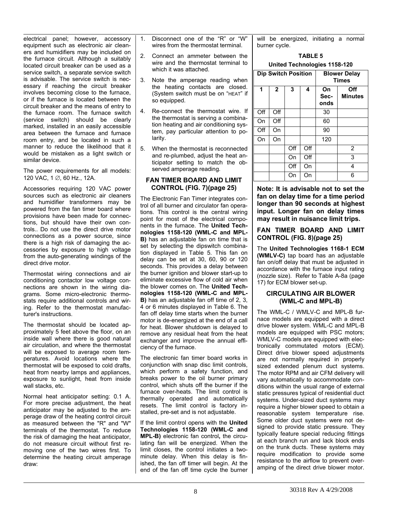<span id="page-7-0"></span>electrical panel; however, accessory equipment such as electronic air cleaners and humidifiers may be included on the furnace circuit. Although a suitably located circuit breaker can be used as a service switch, a separate service switch is advisable. The service switch is necessary if reaching the circuit breaker involves becoming close to the furnace, or if the furnace is located between the circuit breaker and the means of entry to the furnace room. The furnace switch (service switch) should be clearly marked, installed in an easily accessible area between the furnace and furnace room entry, and be located in such a manner to reduce the likelihood that it would be mistaken as a light switch or similar device.

The power requirements for all models: 120 VAC, 1 ∅, 60 Hz., 12A.

<span id="page-7-1"></span>Accessories requiring 120 VAC power sources such as electronic air cleaners and humidifier transformers may be powered from the fan timer board where provisions have been made for connections, but should have their own controls.. Do not use the direct drive motor connections as a power source, since there is a high risk of damaging the accessories by exposure to high voltage from the auto-generating windings of the direct drive motor.

<span id="page-7-2"></span>Thermostat wiring connections and air conditioning contactor low voltage connections are shown in the wiring diagrams. Some micro-electronic thermostats require additional controls and wiring. Refer to the thermostat manufacturer's instructions.

The thermostat should be located approximately 5 feet above the floor, on an inside wall where there is good natural air circulation, and where the thermostat will be exposed to average room temperatures. Avoid locations where the thermostat will be exposed to cold drafts, heat from nearby lamps and appliances, exposure to sunlight, heat from inside wall stacks, etc.

Normal heat anticipator setting: 0.1 A. For more precise adjustment, the heat anticipator may be adjusted to the amperage draw of the heating control circuit as measured between the "R" and "W" terminals of the thermostat. To reduce the risk of damaging the heat anticipator, do not measure circuit without first removing one of the two wires first. To determine the heating circuit amperage draw:

- 1. Disconnect one of the "R" or "W" wires from the thermostat terminal.
- 2. Connect an ammeter between the wire and the thermostat terminal to which it was attached.
- 3. Note the amperage reading when the heating contacts are closed. (System switch must be on "HEAT" if so equipped.
- 4. Re-connect the thermostat wire. If the thermostat is serving a combination heating and air conditioning system, pay particular attention to polarity.
- 5. When the thermostat is reconnected and re-plumbed, adjust the heat anticipator setting to match the observed amperage reading.

#### **FAN TIMER BOARD AND LIMIT CONTROL (FIG. 7)(page 25)**

The Electronic Fan Timer integrates control of all burner and circulator fan operations. This control is the central wiring point for most of the electrical components in the furnace. The **United Technologies 1158-120 (WML-C and MPL-B)** has an adjustable fan on time that is set by selecting the dipswitch combination displayed in Table 5. This fan on delay can be set at 30, 60, 90 or 120 seconds. This provides a delay between the burner ignition and blower start-up to eliminate excessive flow of cold air when the blower comes on. The **United Technologies 1158-120 (WML-C and MPL-B)** has an adjustable fan off time of 2, 3, 4 or 6 minutes displayed in Table 6. The fan off delay time starts when the burner motor is de-energized at the end of a call for heat. Blower shutdown is delayed to remove any residual heat from the heat exchanger and improve the annual efficiency of the furnace.

The electronic fan timer board works in conjunction with snap disc limit controls, which perform a safety function, and breaks power to the oil burner primary control, which shuts off the burner if the furnace over-heats. The limit control is thermally operated and automatically resets. The limit control is factory installed, pre-set and is not adjustable.

If the limit control opens with the **United Technologies 1158-120 (WML-C and MPL-B)** electronic fan control**,** the circulating fan will be energized. When the limit closes, the control initiates a twominute delay. When this delay is finished, the fan off timer will begin. At the end of the fan off time cycle the burner will be energized, initiating a normal burner cycle.

#### **TABLE 5**

#### **United Technologies 1158-120**

|     | <b>Dip Switch Position</b> |     |     | <b>Blower Delay</b><br><b>Times</b> |                       |
|-----|----------------------------|-----|-----|-------------------------------------|-----------------------|
| 1   | $\overline{2}$             | 3   | 4   | On<br>Sec-<br>onds                  | Off<br><b>Minutes</b> |
| Off | Off                        |     |     | 30                                  |                       |
| On  | Off                        |     |     | 60                                  |                       |
| Off | On                         |     |     | 90                                  |                       |
| On  | On                         |     |     | 120                                 |                       |
|     |                            | Off | Off |                                     | $\overline{2}$        |
|     |                            | On  | Off |                                     | 3                     |
|     |                            | Off | On  |                                     | 4                     |
|     |                            | On  | On  |                                     | 6                     |

**Note: It is advisable not to set the fan on delay time for a time period longer than 90 seconds at highest input. Longer fan on delay times may result in nuisance limit trips.** 

#### **FAN TIMER BOARD AND LIMIT CONTROL (FIG. 8)(page 25)**

The **United Technologies 1168-1 ECM (WMLV-C)** tap board has an adjustable fan on/off delay that must be adjusted in accordance with the furnace input rating (nozzle size). Refer to Table A-8a (page 17) for ECM blower set-up.

#### **CIRCULATING AIR BLOWER (WML-C and MPL-B)**

The WML-C / WMLV-C and MPL-B furnace models are equipped with a direct drive blower system. WML-C and MPL-B models are equipped with PSC motors; WMLV-C models are equipped with electronically commutated motors (ECM). Direct drive blower speed adjustments are not normally required in properly sized extended plenum duct systems. The motor RPM and air CFM delivery will vary automatically to accommodate conditions within the usual range of external static pressures typical of residential duct systems. Under-sized duct systems may require a higher blower speed to obtain a reasonable system temperature rise. Some older duct systems were not designed to provide static pressure. They typically feature special reducing fittings at each branch run and lack block ends on the trunk ducts. These systems may require modification to provide some resistance to the airflow to prevent overamping of the direct drive blower motor.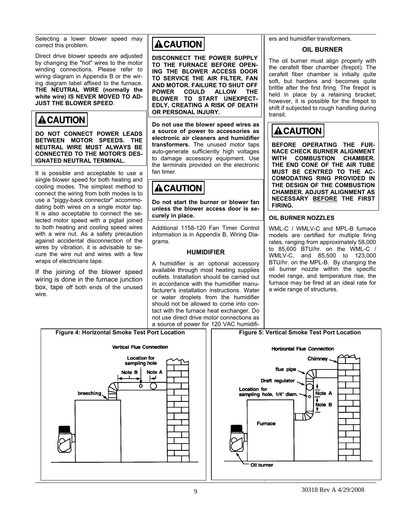<span id="page-8-0"></span>Selecting a lower blower speed may correct this problem.

<span id="page-8-2"></span>Direct drive blower speeds are adjusted by changing the "hot" wires to the motor winding connections. Please refer to wiring diagram in Appendix B or the wiring diagram label affixed to the furnace. **THE NEUTRAL WIRE (normally the**  white wire) IS NEVER MOVED TO AD-**JUST THE BLOWER SPEED**.

## **ACAUTION**

**DO NOT CONNECT POWER LEADS BETWEEN MOTOR SPEEDS. THE NEUTRAL WIRE MUST ALWAYS BE CONNECTED TO THE MOTOR'S DES-IGNATED NEUTRAL TERMINAL.** 

It is possible and acceptable to use a single blower speed for both heating and cooling modes. The simplest method to connect the wiring from both modes is to use a "piggy-back connector" accommodating both wires on a single motor tap. It is also acceptable to connect the selected motor speed with a pigtail joined to both heating and cooling speed wires with a wire nut. As a safety precaution against accidental disconnection of the wires by vibration, it is advisable to secure the wire nut and wires with a few wraps of electricians tape.

<span id="page-8-1"></span>If the joining of the blower speed wiring is done in the furnace junction box, tape off both ends of the unused wire.

## **ACAUTION**

**DISCONNECT THE POWER SUPPLY TO THE FURNACE BEFORE OPEN-ING THE BLOWER ACCESS DOOR TO SERVICE THE AIR FILTER, FAN AND MOTOR. FAILURE TO SHUT OFF POWER COULD ALLOW THE BLOWER TO START UNEXPECT-EDLY, CREATING A RISK OF DEATH OR PERSONAL INJURY.** 

**Do not use the blower speed wires as a source of power to accessories as electronic air cleaners and humidifier transformers.** The unused motor taps auto-generate sufficiently high voltages to damage accessory equipment. Use the terminals provided on the electronic fan timer.

## **A CAUTION**

**Do not start the burner or blower fan unless the blower access door is securely in place.** 

Additional 1158-120 Fan Timer Control information is in Appendix B, Wiring Diagrams.

### **HUMIDIFIER**

A humidifier is an optional accessory available through most heating supplies outlets. Installation should be carried out in accordance with the humidifier manufacturer's installation instructions. Water or water droplets from the humidifier should not be allowed to come into contact with the furnace heat exchanger. Do not use direct drive motor connections as a source of power for 120 VAC humidifiers and humidifier transformers.

## **OIL BURNER**

The oil burner must align properly with the cerafelt fiber chamber (firepot). The cerafelt fiber chamber is initially quite soft, but hardens and becomes quite brittle after the first firing. The firepot is held in place by a retaining bracket; however, it is possible for the firepot to shift if subjected to rough handling during transit.

## **ACAUTION**

**BEFORE OPERATING THE FUR-NACE CHECK BURNER ALIGNMENT WITH COMBUSTION CHAMBER. THE END CONE OF THE AIR TUBE MUST BE CENTRED TO THE AC-COMODATING RING PROVIDED IN THE DESIGN OF THE COMBUSTION CHAMBER. ADJUST ALIGNMENT AS NECESSARY BEFORE THE FIRST FIRING.** 

### **OIL BURNER NOZZLES**

WML-C / WMLV-C and MPL-B furnace models are certified for multiple firing rates, ranging from approximately 58,000 to 85,600 BTU/hr. on the WML-C / WMLV-C, and 85,500 to 123,000 BTU/hr. on the MPL-B. By changing the oil burner nozzle within the specific model range, and temperature rise, the furnace may be fired at an ideal rate for a wide range of structures.

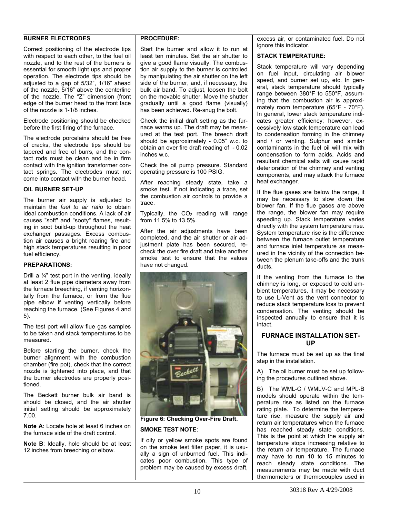#### <span id="page-9-0"></span>**BURNER ELECTRODES**

Correct positioning of the electrode tips with respect to each other, to the fuel oil nozzle, and to the rest of the burners is essential for smooth light ups and proper operation. The electrode tips should be adjusted to a gap of 5/32", 1/16" ahead of the nozzle, 5/16" above the centerline of the nozzle. The "Z" dimension (front edge of the burner head to the front face of the nozzle is 1-1/8 inches.

Electrode positioning should be checked before the first firing of the furnace.

The electrode porcelains should be free of cracks, the electrode tips should be tapered and free of burrs, and the contact rods must be clean and be in firm contact with the ignition transformer contact springs. The electrodes must not come into contact with the burner head.

#### **OIL BURNER SET-UP**

The burner air supply is adjusted to maintain the *fuel to air ratio* to obtain ideal combustion conditions. A lack of air causes "soft" and "sooty" flames, resulting in soot build-up throughout the heat exchanger passages. Excess combustion air causes a bright roaring fire and high stack temperatures resulting in poor fuel efficiency.

#### **PREPARATIONS:**

Drill a  $\frac{1}{4}$ " test port in the venting, ideally at least 2 flue pipe diameters away from the furnace breeching, if venting horizontally from the furnace, or from the flue pipe elbow if venting vertically before reaching the furnace. (See Figures 4 and 5).

<span id="page-9-1"></span>The test port will allow flue gas samples to be taken and stack temperatures to be measured.

Before starting the burner, check the burner alignment with the combustion chamber (fire pot), check that the correct nozzle is tightened into place, and that the burner electrodes are properly positioned.

The Beckett burner bulk air band is should be closed, and the air shutter initial setting should be approximately 7.00.

**Note A**: Locate hole at least 6 inches on the furnace side of the draft control.

**Note B**: Ideally, hole should be at least 12 inches from breeching or elbow.

#### **PROCEDURE:**

Start the burner and allow it to run at least ten minutes. Set the air shutter to give a good flame visually. The combustion air supply to the burner is controlled by manipulating the air shutter on the left side of the burner, and, if necessary, the bulk air band. To adjust, loosen the bolt on the movable shutter. Move the shutter gradually until a good flame (visually) has been achieved. Re-snug the bolt.

Check the initial draft setting as the furnace warms up. The draft may be measured at the test port. The breech draft should be approximately - 0.05" w.c. to obtain an over fire draft reading of - 0.02 inches w.c.

Check the oil pump pressure. Standard operating pressure is 100 PSIG.

After reaching steady state, take a smoke test. If not indicating a trace, set the combustion air controls to provide a trace.

Typically, the  $CO<sub>2</sub>$  reading will range from 11.5% to 13.5%.

After the air adiustments have been completed, and the air shutter or air adjustment plate has been secured, recheck the over fire draft and take another smoke test to ensure that the values have not changed.



**Figure 6: Checking Over-Fire Draft.** 

#### **SMOKE TEST NOTE**:

If oily or yellow smoke spots are found on the smoke test filter paper, it is usually a sign of unburned fuel. This indicates poor combustion. This type of problem may be caused by excess draft, excess air, or contaminated fuel. Do not ignore this indicator.

#### **STACK TEMPERATURE:**

Stack temperature will vary depending on fuel input, circulating air blower speed, and burner set up, etc. In general, stack temperature should typically range between 380°F to 550°F, assuming that the combustion air is approximately room temperature (65°F - 70°F). In general, lower stack temperature indicates greater efficiency; however, excessively low stack temperature can lead to condensation forming in the chimney and / or venting. Sulphur and similar contaminants in the fuel oil will mix with condensation to form acids. Acids and resultant chemical salts will cause rapid deterioration of the chimney and venting components, and may attack the furnace heat exchanger.

If the flue gases are below the range, it may be necessary to slow down the blower fan. If the flue gases are above the range, the blower fan may require speeding up. Stack temperature varies directly with the system temperature rise. System temperature rise is the difference between the furnace outlet temperature and furnace inlet temperature as measured in the vicinity of the connection between the plenum take-offs and the trunk ducts.

If the venting from the furnace to the chimney is long, or exposed to cold ambient temperatures, it may be necessary to use L-Vent as the vent connector to reduce stack temperature loss to prevent condensation. The venting should be inspected annually to ensure that it is intact.

### **FURNACE INSTALLATION SET-UP**

The furnace must be set up as the final step in the installation

A) The oil burner must be set up following the procedures outlined above.

B) The WML-C / WMLV-C and MPL-B models should operate within the temperature rise as listed on the furnace rating plate. To determine the temperature rise, measure the supply air and return air temperatures when the furnace has reached steady state conditions. This is the point at which the supply air temperature stops increasing relative to the return air temperature. The furnace may have to run 10 to 15 minutes to reach steady state conditions. The measurements may be made with duct thermometers or thermocouples used in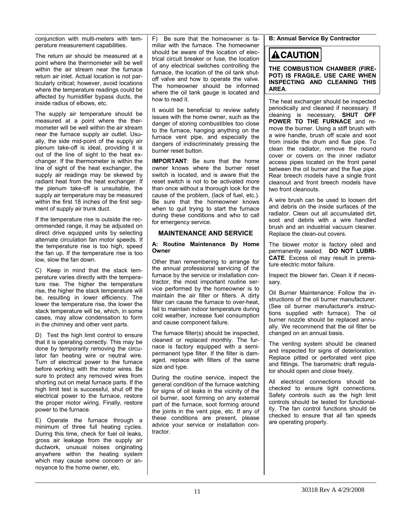<span id="page-10-0"></span>conjunction with multi-meters with temperature measurement capabilities.

The return air should be measured at a point where the thermometer will be well within the air stream near the furnace return air inlet. Actual location is not particularly critical; however, avoid locations where the temperature readings could be affected by humidifier bypass ducts, the inside radius of elbows, etc.

The supply air temperature should be measured at a point where the thermometer will be well within the air stream near the furnace supply air outlet. Usually, the side mid-point of the supply air plenum take-off is ideal, providing it is out of the line of sight to the heat exchanger. If the thermometer is within the line of sight of the heat exchanger, the supply air readings may be skewed by radiant heat from the heat exchanger. If the plenum take-off is unsuitable, the supply air temperature may be measured within the first 18 inches of the first segment of supply air trunk duct.

<span id="page-10-1"></span>If the temperature rise is outside the recommended range, it may be adjusted on direct drive equipped units by selecting alternate circulation fan motor speeds. If the temperature rise is too high, speed the fan up. If the temperature rise is too low, slow the fan down.

C) Keep in mind that the stack temperature varies directly with the temperature rise. The higher the temperature rise, the higher the stack temperature will be, resulting in lower efficiency. The lower the temperature rise, the lower the stack temperature will be, which, in some cases, may allow condensation to form in the chimney and other vent parts.

D) Test the high limit control to ensure that it is operating correctly. This may be done by temporarily removing the circulator fan heating wire or neutral wire. Turn of electrical power to the furnace before working with the motor wires. Be sure to protect any removed wires from shorting out on metal furnace parts. If the high limit test is successful, shut off the electrical power to the furnace, restore the proper motor wiring. Finally, restore power to the furnace.

E) Operate the furnace through a minimum of three full heating cycles. During this time, check for fuel oil leaks, gross air leakage from the supply air ductwork, unusual noises originating anywhere within the heating system which may cause some concern or annoyance to the home owner, etc.

F) Be sure that the homeowner is familiar with the furnace. The homeowner should be aware of the location of electrical circuit breaker or fuse, the location of any electrical switches controlling the furnace, the location of the oil tank shutoff valve and how to operate the valve. The homeowner should be informed where the oil tank gauge is located and how to read it.

It would be beneficial to review safety issues with the home owner, such as the danger of storing combustibles too close to the furnace, hanging anything on the furnace vent pipe, and especially the dangers of indiscriminately pressing the burner reset button.

**IMPORTANT**: Be sure that the home owner knows where the burner reset switch is located, and is aware that the reset switch is not to be activated more than once without a thorough look for the cause of the problem, (lack of fuel, etc.). Be sure that the homeowner knows when to quit trying to start the furnace during these conditions and who to call for emergency service.

### **MAINTENANCE AND SERVICE**

#### **A: Routine Maintenance By Home Owner**

Other than remembering to arrange for the annual professional servicing of the furnace by the service or installation contractor, the most important routine service performed by the homeowner is to maintain the air filter or filters. A dirty filter can cause the furnace to over-heat, fail to maintain indoor temperature during cold weather, increase fuel consumption and cause component failure.

The furnace filter(s) should be inspected, cleaned or replaced monthly. The furnace is factory equipped with a semipermanent type filter. If the filter is damaged, replace with filters of the same size and type.

During the routine service, inspect the general condition of the furnace watching for signs of oil leaks in the vicinity of the oil burner, soot forming on any external part of the furnace, soot forming around the joints in the vent pipe, etc. If any of these conditions are present, please advice your service or installation contractor.

**B: Annual Service By Contractor** 

## **ACAUTION**

**THE COMBUSTION CHAMBER (FIRE-POT) IS FRAGILE. USE CARE WHEN INSPECTING AND CLEANING THIS AREA**.

The heat exchanger should be inspected periodically and cleaned if necessary. If cleaning is necessary, **SHUT OFF POWER TO THE FURNACE** and remove the burner. Using a stiff brush with a wire handle, brush off scale and soot from inside the drum and flue pipe. To clean the radiator, remove the round cover or covers on the inner radiator access pipes located on the front panel between the oil burner and the flue pipe. Rear breech models have a single front cleanout and front breech models have two front cleanouts.

A wire brush can be used to loosen dirt and debris on the inside surfaces of the radiator. Clean out all accumulated dirt, soot and debris with a wire handled brush and an industrial vacuum cleaner. Replace the clean-out covers.

The blower motor is factory oiled and permanently sealed. **DO NOT LUBRI-CATE**. Excess oil may result in premature electric motor failure.

Inspect the blower fan. Clean it if necessary.

Oil Burner Maintenance: Follow the instructions of the oil burner manufacturer. (See oil burner manufacturer's instructions supplied with furnace). The oil burner nozzle should be replaced annually. We recommend that the oil filter be changed on an annual basis.

The venting system should be cleaned and inspected for signs of deterioration. Replace pitted or perforated vent pipe and fittings. The barometric draft regulator should open and close freely.

All electrical connections should be checked to ensure tight connections. Safety controls such as the high limit controls should be tested for functionality. The fan control functions should be checked to ensure that all fan speeds are operating properly.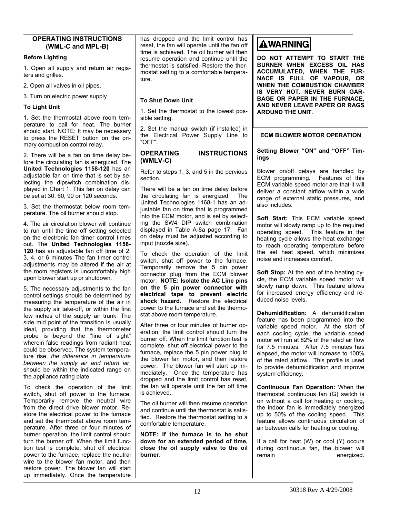#### <span id="page-11-1"></span><span id="page-11-0"></span>**OPERATING INSTRUCTIONS**  has dropped and the limit control has **AWARNING** reset, the fan will operate until the fan off **(WML-C and MPL-B)**  time is achieved. The oil burner will then **Before Lighting DO NOT ATTEMPT TO START THE**  resume operation and continue until the **BURNER WHEN EXCESS OIL HAS**  thermostat is satisfied. Restore the ther-1. Open all supply and return air regis-**ACCUMULATED, WHEN THE FUR**mostat setting to a comfortable temperaters and grilles. **NACE IS FULL OF VAPOUR, OR**  ture. **WHEN THE COMBUSTION CHAMBER**  2. Open all valves in oil pipes. **IS VERY HOT. NEVER BURN GAR-**3. Turn on electric power supply **BAGE OR PAPER IN THE FURNACE, To Shut Down Unit AND NEVER LEAVE PAPER OR RAGS To Light Unit**  1. Set the thermostat to the lowest pos-**AROUND THE UNIT**. 1. Set the thermostat above room temsible setting. perature to call for heat. The burner 2. Set the manual switch (if installed) in should start. NOTE: It may be necessary the Electrical Power Supply Line to **ECM BLOWER MOTOR OPERATION**  to press the RESET button on the pri-"OFF". mary combustion control relay. **Setting Blower "ON" and "OFF" Tim-OPERATING INSTRUCTIONS**  2. There will be a fan on time delay be**ings (WMLV-C)**  fore the circulating fan is energized. The **United Technologies 1158-120** has an Refer to steps 1, 3, and 5 in the pervious Blower on/off delays are handled by adjustable fan on time that is set by se-ECM programming. Features of this section. lecting the dipswitch combination dis-ECM variable speed motor are that it will played in Chart 1. This fan on delay can There will be a fan on time delay before deliver a constant airflow within a wide be set at 30, 60, 90 or 120 seconds. the circulating fan is energized. The range of external static pressures, and United Technologies 1168-1 has an adalso includes: 3. Set the thermostat below room temjustable fan on time that is programmed perature. The oil burner should stop. into the ECM motor, and is set by select-**Soft Start:** This ECM variable speed ing the SW4 DIP switch combination 4. The air circulation blower will continue motor will slowly ramp up to the required displayed in Table A-8a page 17. Fan to run until the time off setting selected operating speed. This feature in the on delay must be adjusted according to on the electronic fan timer control times heating cycle allows the heat exchanger input (nozzle size).

To check the operation of the limit switch, shut off power to the furnace. Temporarily remove the 5 pin power connector plug from the ECM blower motor. **NOTE: Isolate the AC Line pins on the 5 pin power connector with electrical tape to prevent electric shock hazard.** Restore the electrical power to the furnace and set the thermostat above room temperature.

After three or four minutes of burner operation, the limit control should turn the burner off. When the limit function test is complete, shut off electrical power to the furnace, replace the 5 pin power plug to the blower fan motor, and then restore power. The blower fan will start up immediately. Once the temperature has dropped and the limit control has reset, the fan will operate until the fan off time is achieved.

The oil burner will then resume operation and continue until the thermostat is satisfied. Restore the thermostat setting to a comfortable temperature.

**NOTE: If the furnace is to be shut down for an extended period of time, close the oil supply valve to the oil burner**.

to reach operating temperature before the set heat speed, which minimizes noise and increases comfort.

**Soft Stop:** At the end of the heating cycle, the ECM variable speed motor will slowly ramp down. This feature allows for increased energy efficiency and reduced noise levels.

**Dehumidification:** A dehumidification feature has been programmed into the variable speed motor. At the start of each cooling cycle, the variable speed motor will run at 82% of the rated air flow for 7.5 minutes. After 7.5 minutes has elapsed, the motor will increase to 100% of the rated airflow. This profile is used to provide dehumidification and improve system efficiency.

**Continuous Fan Operation:** When the thermostat continuous fan (G) switch is on without a call for heating or cooling, the indoor fan is immediately energized up to 50% of the cooling speed. This feature allows continuous circulation of air between calls for heating or cooling.

If a call for heat (W) or cool (Y) occurs during continuous fan, the blower will remain energized.

<span id="page-11-2"></span>out. The **United Technologies 1158- 120** has an adjustable fan off time of 2, 3, 4, or 6 minutes The fan timer control adjustments may be altered if the air at the room registers is uncomfortably high upon blower start up or shutdown.

5. The necessary adjustments to the fan control settings should be determined by measuring the temperature of the air in the supply air take-off, or within the first few inches of the supply air trunk. The side mid point of the transition is usually ideal, providing that the thermometer probe is beyond the "line of sight" wherein false readings from radiant heat could be observed. The system temperature rise, *the difference in temperature between the supply air and return air*, should be within the indicated range on the appliance rating plate.

To check the operation of the limit switch, shut off power to the furnace. Temporarily remove the neutral wire from the direct drive blower motor. Restore the electrical power to the furnace and set the thermostat above room temperature. After three or four minutes of burner operation, the limit control should turn the burner off. When the limit function test is complete, shut off electrical power to the furnace, replace the neutral wire to the blower fan motor, and then restore power. The blower fan will start up immediately. Once the temperature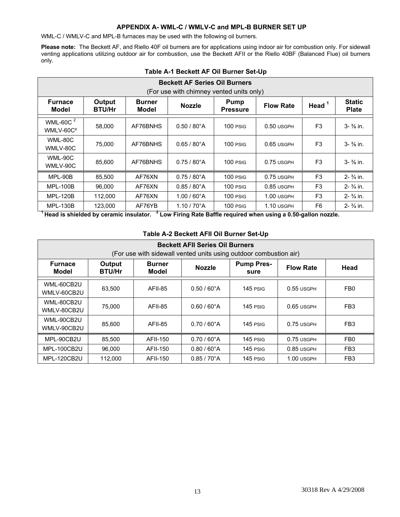#### **APPENDIX A- WML-C / WMLV-C and MPL-B BURNER SET UP**

<span id="page-12-1"></span><span id="page-12-0"></span>WML-C / WMLV-C and MPL-B furnaces may be used with the following oil burners.

**Please note:** The Beckett AF, and Riello 40F oil burners are for applications using indoor air for combustion only. For sidewall venting applications utilizing outdoor air for combustion, use the Beckett AFII or the Riello 40BF (Balanced Flue) oil burners only.

| <b>Beckett AF Series Oil Burners</b><br>(For use with chimney vented units only) |                         |                        |                       |                         |                  |                |                               |  |  |
|----------------------------------------------------------------------------------|-------------------------|------------------------|-----------------------|-------------------------|------------------|----------------|-------------------------------|--|--|
| <b>Furnace</b><br>Model                                                          | Output<br><b>BTU/Hr</b> | <b>Burner</b><br>Model | <b>Nozzle</b>         | Pump<br><b>Pressure</b> | <b>Flow Rate</b> | Head $1$       | <b>Static</b><br><b>Plate</b> |  |  |
| WML-60C $^2$<br>WMLV-60C <sup>2</sup>                                            | 58,000                  | AF76BNHS               | $0.50 / 80^{\circ}$ A | 100 PSIG                | $0.50$ usgph     | F <sub>3</sub> | $3 - \frac{3}{8}$ in.         |  |  |
| WML-80C<br>WMLV-80C                                                              | 75,000                  | AF76BNHS               | $0.65 / 80^{\circ}$ A | 100 PSIG                | $0.65$ USGPH     | F <sub>3</sub> | $3 - \frac{3}{8}$ in.         |  |  |
| WML-90C<br>WMLV-90C                                                              | 85.600                  | AF76BNHS               | $0.75/80^{\circ}$ A   | 100 PSIG                | 0.75 USGPH       | F <sub>3</sub> | $3 - \frac{3}{8}$ in.         |  |  |
| MPL-90B                                                                          | 85.500                  | AF76XN                 | $0.75/80^{\circ}$ A   | $100$ PSIG              | $0.75$ USGPH     | F <sub>3</sub> | $2 - \frac{3}{4}$ in.         |  |  |
| <b>MPL-100B</b>                                                                  | 96.000                  | AF76XN                 | $0.85 / 80^{\circ}$ A | 100 PSIG                | $0.85$ USGPH     | F <sub>3</sub> | $2 - \frac{3}{4}$ in.         |  |  |
| <b>MPL-120B</b>                                                                  | 112,000                 | AF76XN                 | $1.00 / 60^{\circ}$ A | 100 PSIG                | 1.00 USGPH       | F <sub>3</sub> | $2 - \frac{3}{4}$ in.         |  |  |
| <b>MPL-130B</b>                                                                  | 123,000                 | AF76YB                 | $1.10 / 70^{\circ}$ A | 100 PSIG                | 1.10 USGPH       | F <sub>6</sub> | $2 - \frac{3}{4}$ in.         |  |  |

#### **Table A-1 Beckett AF Oil Burner Set-Up**

<sup>1</sup> Head is shielded by ceramic insulator. <sup>2</sup> Low Firing Rate Baffle required when using a 0.50-gallon nozzle.

| <b>Beckett AFII Series Oil Burners</b><br>(For use with sidewall vented units using outdoor combustion air) |         |                        |                       |                           |                  |                 |  |  |  |
|-------------------------------------------------------------------------------------------------------------|---------|------------------------|-----------------------|---------------------------|------------------|-----------------|--|--|--|
| <b>Furnace</b><br>Output<br><b>BTU/Hr</b><br>Model                                                          |         | <b>Burner</b><br>Model | <b>Nozzle</b>         | <b>Pump Pres-</b><br>sure | <b>Flow Rate</b> | Head            |  |  |  |
| WML-60CB2U<br>WMLV-60CB2U                                                                                   | 63,500  | AFII-85                | $0.50 / 60^{\circ}$ A | $145$ PSIG                | $0.55$ USGPH     | FB <sub>0</sub> |  |  |  |
| WML-80CB2U<br>WMLV-80CB2U                                                                                   | 75.000  | AFII-85                | $0.60 / 60^{\circ}$ A | $145$ PSIG                | $0.65$ USGPH     | FB <sub>3</sub> |  |  |  |
| WML-90CB2U<br>WMLV-90CB2U                                                                                   | 85,600  | AFII-85                | $0.70/60^{\circ}$ A   | $145$ PSIG                | $0.75$ USGPH     | FB <sub>3</sub> |  |  |  |
| MPL-90CB2U                                                                                                  | 85.500  | AFII-150               | $0.70/60^{\circ}$ A   | $145$ PSIG                | $0.75$ USGPH     | FB <sub>0</sub> |  |  |  |
| MPL-100CB2U                                                                                                 | 96.000  | <b>AFII-150</b>        | $0.80 / 60^{\circ}$ A | 145 PSIG                  | $0.85$ USGPH     | FB <sub>3</sub> |  |  |  |
| MPL-120CB2U                                                                                                 | 112,000 | AFII-150               | $0.85 / 70^{\circ}$ A | 145 PSIG                  | 1.00 USGPH       | FB <sub>3</sub> |  |  |  |

#### **Table A-2 Beckett AFII Oil Burner Set-Up**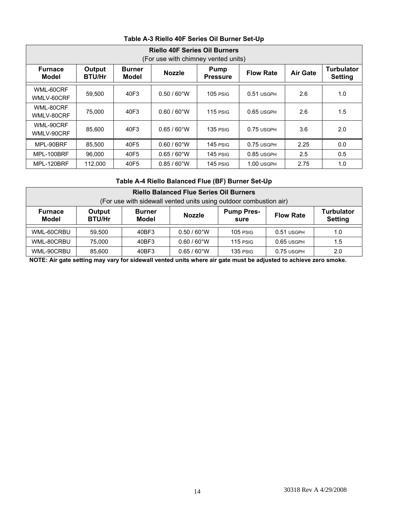| <b>Riello 40F Series Oil Burners</b><br>(For use with chimney vented units) |                                |                        |                       |                                |                  |                 |                                     |  |  |
|-----------------------------------------------------------------------------|--------------------------------|------------------------|-----------------------|--------------------------------|------------------|-----------------|-------------------------------------|--|--|
| <b>Furnace</b><br>Model                                                     | <b>Output</b><br><b>BTU/Hr</b> | <b>Burner</b><br>Model | <b>Nozzle</b>         | <b>Pump</b><br><b>Pressure</b> | <b>Flow Rate</b> | <b>Air Gate</b> | <b>Turbulator</b><br><b>Setting</b> |  |  |
| WML-60CRF<br>WMLV-60CRF                                                     | 59,500                         | 40F3                   | $0.50 / 60^{\circ}$ W | $105$ PSIG                     | $0.51$ USGPH     | 2.6             | 1.0                                 |  |  |
| WML-80CRF<br>WMLV-80CRF                                                     | 75,000                         | 40F3                   | $0.60 / 60^{\circ}$ W | $115$ PSIG                     | $0.65$ USGPH     | 2.6             | 1.5                                 |  |  |
| WML-90CRF<br>WMLV-90CRF                                                     | 85,600                         | 40F3                   | $0.65 / 60^{\circ}$ W | $135$ PSIG                     | $0.75$ USGPH     | 3.6             | 2.0                                 |  |  |
| MPL-90BRF                                                                   | 85,500                         | 40F5                   | $0.60 / 60^{\circ}$ W | 145 PSIG                       | 0.75 USGPH       | 2.25            | 0.0                                 |  |  |
| MPL-100BRF                                                                  | 96.000                         | 40F5                   | $0.65 / 60^{\circ}$ W | 145 PSIG                       | 0.85 USGPH       | 2.5             | 0.5                                 |  |  |
| MPL-120BRF                                                                  | 112.000                        | 40F5                   | $0.85/60^{\circ}$ W   | 145 PSIG                       | 1.00 USGPH       | 2.75            | 1.0                                 |  |  |

## **Table A-3 Riello 40F Series Oil Burner Set-Up**

## **Table A-4 Riello Balanced Flue (BF) Burner Set-Up**

| <b>Riello Balanced Flue Series Oil Burners</b><br>(For use with sidewall vented units using outdoor combustion air)                                                                                 |                                                                                        |       |                       |            |            |     |  |  |  |  |
|-----------------------------------------------------------------------------------------------------------------------------------------------------------------------------------------------------|----------------------------------------------------------------------------------------|-------|-----------------------|------------|------------|-----|--|--|--|--|
| <b>Turbulator</b><br><b>Pump Pres-</b><br><b>Furnace</b><br>Output<br><b>Burner</b><br><b>Nozzle</b><br><b>Flow Rate</b><br><b>BTU/Hr</b><br><b>Model</b><br><b>Model</b><br><b>Setting</b><br>sure |                                                                                        |       |                       |            |            |     |  |  |  |  |
| WML-60CRBU                                                                                                                                                                                          | 59.500                                                                                 | 40BF3 | $0.50 / 60^{\circ}$ W | $105$ PSIG | 0.51 USGPH | 1.0 |  |  |  |  |
| WML-80CRBU                                                                                                                                                                                          | 75.000                                                                                 | 40BF3 | $0.60 / 60^{\circ}$ W | $115$ PSIG | 0.65 USGPH | 1.5 |  |  |  |  |
| WML-90CRBU                                                                                                                                                                                          | 40BF3<br>$0.65 / 60^{\circ}$ W<br>85,600<br>135 PSIG<br>0.75 USGPH<br>2.0 <sub>2</sub> |       |                       |            |            |     |  |  |  |  |

**NOTE: Air gate setting may vary for sidewall vented units where air gate must be adjusted to achieve zero smoke.**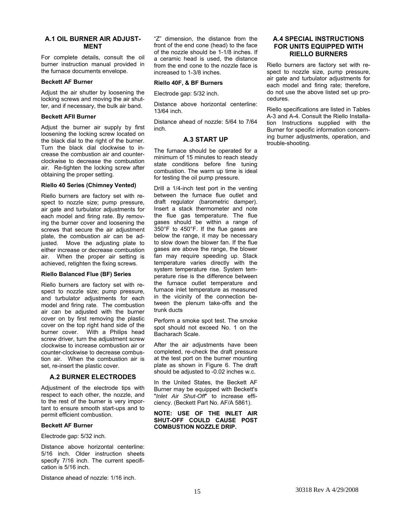#### <span id="page-14-1"></span><span id="page-14-0"></span>**A.1 OIL BURNER AIR ADJUST-MENT**

For complete details, consult the oil burner instruction manual provided in the furnace documents envelope.

#### **Beckett AF Burner**

Adjust the air shutter by loosening the locking screws and moving the air shutter, and if necessary, the bulk air band.

#### **Beckett AFII Burner**

<span id="page-14-3"></span>Adjust the burner air supply by first loosening the locking screw located on the black dial to the right of the burner. Turn the black dial clockwise to increase the combustion air and counterclockwise to decrease the combustion air. Re-tighten the locking screw after obtaining the proper setting.

#### **Riello 40 Series (Chimney Vented)**

Riello burners are factory set with respect to nozzle size; pump pressure, air gate and turbulator adjustments for each model and firing rate. By removing the burner cover and loosening the screws that secure the air adjustment plate, the combustion air can be adjusted. Move the adjusting plate to either increase or decrease combustion air. When the proper air setting is achieved, retighten the fixing screws.

#### **Riello Balanced Flue (BF) Series**

Riello burners are factory set with respect to nozzle size; pump pressure, and turbulator adjustments for each model and firing rate. The combustion air can be adjusted with the burner cover on by first removing the plastic cover on the top right hand side of the burner cover. With a Philips head screw driver, turn the adjustment screw clockwise to increase combustion air or counter-clockwise to decrease combustion air. When the combustion air is set, re-insert the plastic cover.

#### **A.2 BURNER ELECTRODES**

<span id="page-14-2"></span>Adjustment of the electrode tips with respect to each other, the nozzle, and to the rest of the burner is very important to ensure smooth start-ups and to permit efficient combustion.

#### **Beckett AF Burner**

Electrode gap: 5/32 inch.

Distance above horizontal centerline: 5/16 inch. Older instruction sheets specify 7/16 inch. The current specification is 5/16 inch.

Distance ahead of nozzle: 1/16 inch.

"Z" dimension, the distance from the front of the end cone (head) to the face of the nozzle should be 1-1/8 inches. If a ceramic head is used, the distance from the end cone to the nozzle face is increased to 1-3/8 inches.

#### **Riello 40F, & BF Burners**

Electrode gap: 5/32 inch.

Distance above horizontal centerline: 13/64 inch.

Distance ahead of nozzle: 5/64 to 7/64 inch.

#### **A.3 START UP**

The furnace should be operated for a minimum of 15 minutes to reach steady state conditions before fine tuning combustion. The warm up time is ideal for testing the oil pump pressure.

Drill a 1/4-inch test port in the venting between the furnace flue outlet and draft regulator (barometric damper). Insert a stack thermometer and note the flue gas temperature. The flue gases should be within a range of 350°F to 450°F. If the flue gases are below the range, it may be necessary to slow down the blower fan. If the flue gases are above the range, the blower fan may require speeding up. Stack temperature varies directly with the system temperature rise. System temperature rise is the difference between the furnace outlet temperature and furnace inlet temperature as measured in the vicinity of the connection between the plenum take-offs and the trunk ducts

Perform a smoke spot test. The smoke spot should not exceed No. 1 on the Bacharach Scale.

After the air adjustments have been completed, re-check the draft pressure at the test port on the burner mounting plate as shown in Figure 6. The draft should be adjusted to -0.02 inches w.c.

In the United States, the Beckett AF Burner may be equipped with Beckett's "*Inlet Air Shut-Off*" to increase efficiency. (Beckett Part No. AF/A 5861).

#### **NOTE: USE OF THE INLET AIR SHUT-OFF COULD CAUSE POST COMBUSTION NOZZLE DRIP.**

#### **A.4 SPECIAL INSTRUCTIONS FOR UNITS EQUIPPED WITH RIELLO BURNERS**

Riello burners are factory set with respect to nozzle size, pump pressure, air gate and turbulator adjustments for each model and firing rate; therefore, do not use the above listed set up procedures.

Riello specifications are listed in Tables A-3 and A-4. Consult the Riello Installation Instructions supplied with the Burner for specific information concerning burner adjustments, operation, and trouble-shooting.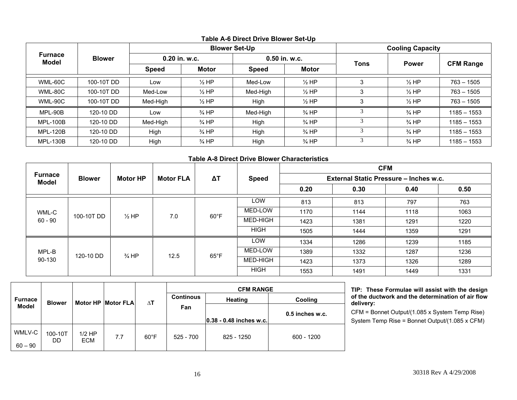|                         |               |               |                  | <b>Blower Set-Up</b> | <b>Cooling Capacity</b> |             |                  |                  |
|-------------------------|---------------|---------------|------------------|----------------------|-------------------------|-------------|------------------|------------------|
| Furnace<br><b>Model</b> | <b>Blower</b> | 0.20 in. w.c. |                  |                      | 0.50 in. w.c.           |             | <b>Power</b>     |                  |
|                         |               | Speed         | <b>Motor</b>     | <b>Speed</b>         | <b>Motor</b>            | <b>Tons</b> |                  | <b>CFM Range</b> |
| WML-60C                 | 100-10T DD    | Low           | $\frac{1}{2}$ HP | Med-Low              | $\frac{1}{2}$ HP        | 3           | $\frac{1}{2}$ HP | $763 - 1505$     |
| WML-80C                 | 100-10T DD    | Med-Low       | $\frac{1}{2}$ HP | Med-High             | $\frac{1}{2}$ HP        | 3           | $\frac{1}{2}$ HP | $763 - 1505$     |
| WML-90C                 | 100-10T DD    | Med-High      | $\frac{1}{2}$ HP | High                 | $\frac{1}{2}$ HP        | 3           | $\frac{1}{2}$ HP | $763 - 1505$     |
| MPL-90B                 | 120-10 DD     | Low           | $\frac{3}{4}$ HP | Med-High             | $\frac{3}{4}$ HP        |             | $\frac{3}{4}$ HP | $1185 - 1553$    |
| <b>MPL-100B</b>         | 120-10 DD     | Med-High      | $\frac{3}{4}$ HP | High                 | $\frac{3}{4}$ HP        | 3           | $\frac{3}{4}$ HP | $1185 - 1553$    |
| <b>MPL-120B</b>         | 120-10 DD     | High          | $\frac{3}{4}$ HP | High                 | $\frac{3}{4}$ HP        | 3           | $\frac{3}{4}$ HP | $1185 - 1553$    |
| <b>MPL-130B</b>         | 120-10 DD     | High          | $\frac{3}{4}$ HP | High                 | $\frac{3}{4}$ HP        | 3           | $\frac{3}{4}$ HP | 1185 - 1553      |

## **Table A-6 Direct Drive Blower Set-Up**

### **Table A-8 Direct Drive Blower Characteristics**

|                                |               |                  |                  |                |                 | <b>CFM</b>                             |      |      |                                      |
|--------------------------------|---------------|------------------|------------------|----------------|-----------------|----------------------------------------|------|------|--------------------------------------|
| <b>Furnace</b><br><b>Model</b> | <b>Blower</b> | <b>Motor HP</b>  | <b>Motor FLA</b> | $\Delta T$     | <b>Speed</b>    | External Static Pressure - Inches w.c. |      |      |                                      |
|                                |               |                  |                  |                |                 | 0.20                                   | 0.30 | 0.40 | 0.50                                 |
|                                | 100-10T DD    |                  |                  |                | LOW             | 813                                    | 813  | 797  | 763                                  |
| WML-C                          |               | $\frac{1}{2}$ HP | 7.0              | $60^{\circ}$ F | MED-LOW         | 1170                                   | 1144 | 1118 | 1063                                 |
| $60 - 90$                      |               |                  |                  |                | <b>MED-HIGH</b> | 1423                                   | 1381 | 1291 | 1220<br>1291<br>1185<br>1236<br>1289 |
|                                |               |                  |                  |                | <b>HIGH</b>     | 1505                                   | 1444 | 1359 |                                      |
|                                |               |                  |                  |                | LOW             | 1334                                   | 1286 | 1239 |                                      |
| MPL-B                          | 120-10 DD     | $\frac{3}{4}$ HP | 12.5             | $65^{\circ}$ F | MED-LOW         | 1389                                   | 1332 | 1287 |                                      |
| 90-130                         |               |                  |                  |                | <b>MED-HIGH</b> | 1423                                   | 1373 | 1326 |                                      |
|                                |               |                  |                  |                | <b>HIGH</b>     | 1553                                   | 1491 | 1449 | 1331                                 |

<span id="page-15-2"></span><span id="page-15-1"></span><span id="page-15-0"></span>

|              |               |                 |                           |                | <b>CFM RANGE</b> |                         |                   |  |
|--------------|---------------|-----------------|---------------------------|----------------|------------------|-------------------------|-------------------|--|
| Furnace      | <b>Blower</b> |                 | <b>Motor HP Motor FLA</b> | $\Delta T$     | <b>Continous</b> | <b>Heating</b>          | <b>Cooling</b>    |  |
| <b>Model</b> |               |                 |                           |                | Fan              |                         | $0.5$ inches w.c. |  |
|              |               |                 |                           |                |                  | 0.38 - 0.48 inches w.c. |                   |  |
| WMLV-C       | 100-10T       | $1/2$ HP<br>ECM | 7.7                       | $60^{\circ}$ F | $525 - 700$      | 825 - 1250              | $600 - 1200$      |  |
| $60 - 90$    | DD            |                 |                           |                |                  |                         |                   |  |

**TIP: These Formulae will assist with the design of the ductwork and the determination of air flow delivery:** 

CFM = Bonnet Output/(1.085 x System Temp Rise) System Temp Rise = Bonnet Output/(1.085 x CFM)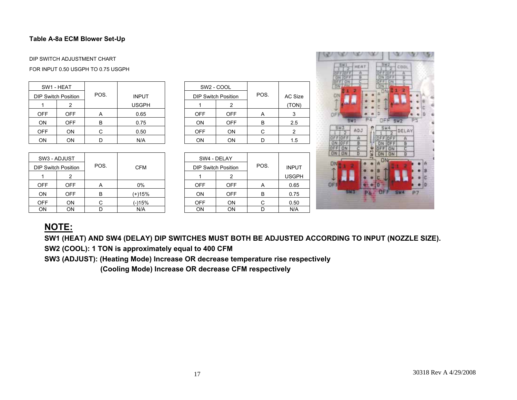## **Table A-8a ECM Blower Set-Up**

#### DIP SWITCH ADJUSTMENT CHART

#### FOR INPUT 0.50 USGPH TO 0.75 USGPH

|            | SW1 - HEAT                 |      |              |            | SW <sub>2</sub> - COOL     |      |         |
|------------|----------------------------|------|--------------|------------|----------------------------|------|---------|
|            | <b>DIP Switch Position</b> | POS. | <b>INPUT</b> |            | <b>DIP Switch Position</b> | POS. | AC Size |
|            |                            |      | <b>USGPH</b> |            |                            |      | (TON)   |
| <b>OFF</b> | <b>OFF</b>                 | A    | 0.65         | <b>OFF</b> | <b>OFF</b>                 | A    |         |
| ON         | <b>OFF</b>                 | B    | 0.75         | <b>ON</b>  | <b>OFF</b>                 | B    | 2.5     |
| <b>OFF</b> | ON                         |      | 0.50         | <b>OFF</b> | <b>ON</b>                  | С    |         |
| ON         | ON                         |      | N/A          | <b>ON</b>  | ON                         |      | 1.5     |

| SW3 - ADJUST |                            |      |            | SW4 - DELAY |                            |      |              |
|--------------|----------------------------|------|------------|-------------|----------------------------|------|--------------|
|              | <b>DIP Switch Position</b> | POS. | <b>CFM</b> |             | <b>DIP Switch Position</b> | POS. | <b>INPUT</b> |
|              |                            |      |            |             |                            |      | <b>USGPH</b> |
| <b>OFF</b>   | OFF                        | A    | 0%         | <b>OFF</b>  | <b>OFF</b>                 | A    | 0.65         |
| ON           | OFF                        | B    | (+)15%     | <b>ON</b>   | <b>OFF</b>                 | В    | 0.75         |
| <b>OFF</b>   | ΟN                         | C    | $(-)15%$   | <b>OFF</b>  | OΝ                         | C    | 0.50         |
| ON           | ΟN                         |      | N/A        | ON          | ΟN                         |      | N/A          |

|              | SW <sub>2</sub> - COOL     |            |      |         |
|--------------|----------------------------|------------|------|---------|
| <b>INPUT</b> | <b>DIP Switch Position</b> |            | POS. | AC Size |
| USGPH        |                            | 2          |      | (TON)   |
| 0.65         | <b>OFF</b>                 | <b>OFF</b> | A    | 3       |
| 0.75         | <b>ON</b>                  | <b>OFF</b> | B    | 2.5     |
| 0.50         | <b>OFF</b>                 | ON         | С    | 2       |
| N/A          | ON                         | ON         |      | 1.5     |

|     | SW4 - DELAY                |            |      |              |
|-----|----------------------------|------------|------|--------------|
| =M  | <b>DIP Switch Position</b> |            | POS. | <b>INPUT</b> |
|     |                            | 2          |      | <b>USGPH</b> |
| %   | <b>OFF</b>                 | <b>OFF</b> | A    | 0.65         |
| 15% | ON                         | <b>OFF</b> | В    | 0.75         |
| 5%  | <b>OFF</b>                 | <b>ON</b>  | С    | 0.50         |
| /A  | ON                         | ON         |      | N/A          |



## **NOTE:**

**SW1 (HEAT) AND SW4 (DELAY) DIP SWITCHES MUST BOTH BE ADJUSTED ACCORDING TO INPUT (NOZZLE SIZE).** 

**SW2 (COOL): 1 TON is approximately equal to 400 CFM** 

<span id="page-16-0"></span>**SW3 (ADJUST): (Heating Mode) Increase OR decrease temperature rise respectively** 

<span id="page-16-1"></span> **(Cooling Mode) Increase OR decrease CFM respectively**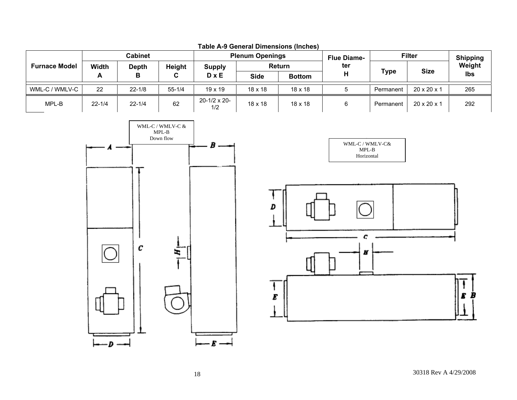|                      | <b>Cabinet</b>               |            |            |                             | <b>Plenum Openings</b> |                | <b>Flue Diame-</b> | <b>Filter</b> |                         | <b>Shipping</b> |  |
|----------------------|------------------------------|------------|------------|-----------------------------|------------------------|----------------|--------------------|---------------|-------------------------|-----------------|--|
| <b>Furnace Model</b> | <b>Width</b><br><b>Depth</b> |            | Height     | <b>Supply</b>               |                        | Return         | ter                |               | <b>Size</b>             | Weight          |  |
|                      | A                            | В          | C.         | $D \times E$                | <b>Side</b>            | <b>Bottom</b>  | п                  | <b>Type</b>   |                         | Ibs             |  |
| WML-C / WMLV-C       | 22                           | $22 - 1/8$ | $55 - 1/4$ | $19 \times 19$              | $18 \times 18$         | $18 \times 18$ |                    | Permanent     | $20 \times 20 \times 1$ | 265             |  |
| MPL-B                | $22 - 1/4$                   | $22 - 1/4$ | 62         | $20 - 1/2 \times 20$<br>1/2 | $18 \times 18$         | $18 \times 18$ |                    | Permanent     | $20 \times 20 \times 1$ | 292             |  |



<span id="page-17-0"></span>



<span id="page-17-1"></span>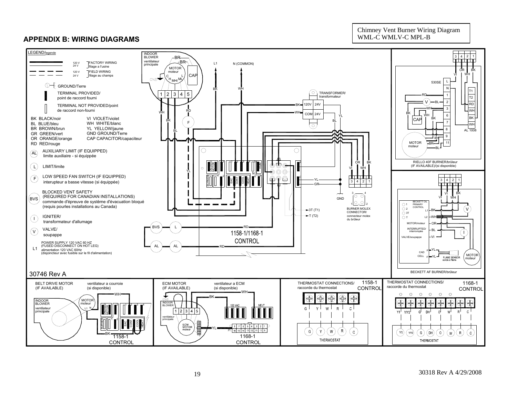## **APPENDIX B: WIRING DIAGRAMS**

Chimney Vent Burner Wiring Diagram WML-C WMLV-C MPL-B

<span id="page-18-1"></span><span id="page-18-0"></span>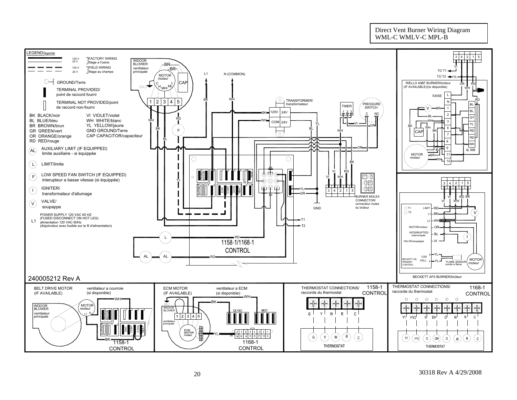#### Direct Vent Burner Wiring Diagram WML-C WMLV-C MPL-B

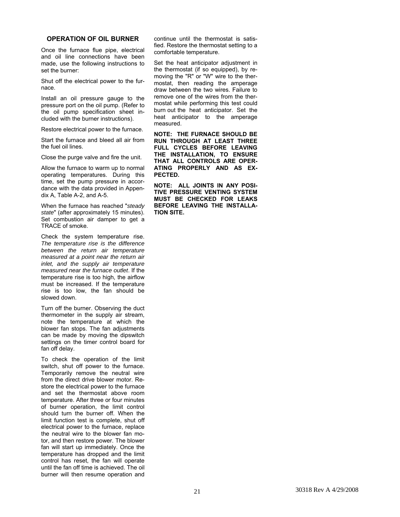#### <span id="page-20-0"></span>**OPERATION OF OIL BURNER**

<span id="page-20-1"></span>Once the furnace flue pipe, electrical and oil line connections have been made, use the following instructions to set the burner:

Shut off the electrical power to the furnace.

Install an oil pressure gauge to the pressure port on the oil pump. (Refer to the oil pump specification sheet included with the burner instructions).

Restore electrical power to the furnace.

Start the furnace and bleed all air from the fuel oil lines.

Close the purge valve and fire the unit.

Allow the furnace to warm up to normal operating temperatures. During this time, set the pump pressure in accordance with the data provided in Appendix A, Table A-2, and A-5.

When the furnace has reached "*steady state*" (after approximately 15 minutes). Set combustion air damper to get a TRACE of smoke.

Check the system temperature rise. *The temperature rise is the difference between the return air temperature measured at a point near the return air inlet, and the supply air temperature measured near the furnace outlet*. If the temperature rise is too high, the airflow must be increased. If the temperature rise is too low, the fan should be slowed down.

Turn off the burner. Observing the duct thermometer in the supply air stream, note the temperature at which the blower fan stops. The fan adjustments can be made by moving the dipswitch settings on the timer control board for fan off delay.

To check the operation of the limit switch, shut off power to the furnace. Temporarily remove the neutral wire from the direct drive blower motor. Restore the electrical power to the furnace and set the thermostat above room temperature. After three or four minutes of burner operation, the limit control should turn the burner off. When the limit function test is complete, shut off electrical power to the furnace, replace the neutral wire to the blower fan motor, and then restore power. The blower fan will start up immediately. Once the temperature has dropped and the limit control has reset, the fan will operate until the fan off time is achieved. The oil burner will then resume operation and continue until the thermostat is satisfied. Restore the thermostat setting to a comfortable temperature.

Set the heat anticipator adjustment in the thermostat (if so equipped), by removing the "R" or "W" wire to the thermostat, then reading the amperage draw between the two wires. Failure to remove one of the wires from the thermostat while performing this test could burn out the heat anticipator. Set the heat anticipator to the amperage measured.

**NOTE: THE FURNACE SHOULD BE RUN THROUGH AT LEAST THREE FULL CYCLES BEFORE LEAVING THE INSTALLATION, TO ENSURE THAT ALL CONTROLS ARE OPER-ATING PROPERLY AND AS EX-PECTED.** 

**NOTE: ALL JOINTS IN ANY POSI-TIVE PRESSURE VENTING SYSTEM MUST BE CHECKED FOR LEAKS BEFORE LEAVING THE INSTALLA-TION SITE.**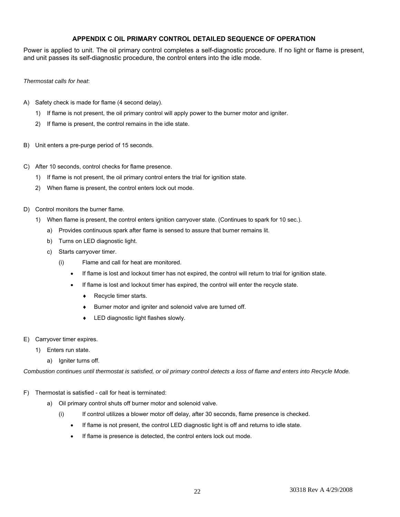#### **APPENDIX C OIL PRIMARY CONTROL DETAILED SEQUENCE OF OPERATION**

<span id="page-21-1"></span><span id="page-21-0"></span>Power is applied to unit. The oil primary control completes a self-diagnostic procedure. If no light or flame is present, and unit passes its self-diagnostic procedure, the control enters into the idle mode.

#### *Thermostat calls for heat*:

- A) Safety check is made for flame (4 second delay).
	- 1) If flame is not present, the oil primary control will apply power to the burner motor and igniter.
	- 2) If flame is present, the control remains in the idle state.
- B) Unit enters a pre-purge period of 15 seconds.
- C) After 10 seconds, control checks for flame presence.
	- 1) If flame is not present, the oil primary control enters the trial for ignition state.
	- 2) When flame is present, the control enters lock out mode.
- D) Control monitors the burner flame.
	- 1) When flame is present, the control enters ignition carryover state. (Continues to spark for 10 sec.).
		- a) Provides continuous spark after flame is sensed to assure that burner remains lit.
		- b) Turns on LED diagnostic light.
		- c) Starts carryover timer.
			- (i) Flame and call for heat are monitored.
				- If flame is lost and lockout timer has not expired, the control will return to trial for ignition state.
				- If flame is lost and lockout timer has expired, the control will enter the recycle state.
					- ♦ Recycle timer starts.
					- ♦ Burner motor and igniter and solenoid valve are turned off.
					- LED diagnostic light flashes slowly.
- E) Carryover timer expires.
	- 1) Enters run state.
		- a) Igniter turns off.

*Combustion continues until thermostat is satisfied, or oil primary control detects a loss of flame and enters into Recycle Mode.* 

- F) Thermostat is satisfied call for heat is terminated:
	- a) Oil primary control shuts off burner motor and solenoid valve.
		- (i) If control utilizes a blower motor off delay, after 30 seconds, flame presence is checked.
			- If flame is not present, the control LED diagnostic light is off and returns to idle state.
			- If flame is presence is detected, the control enters lock out mode.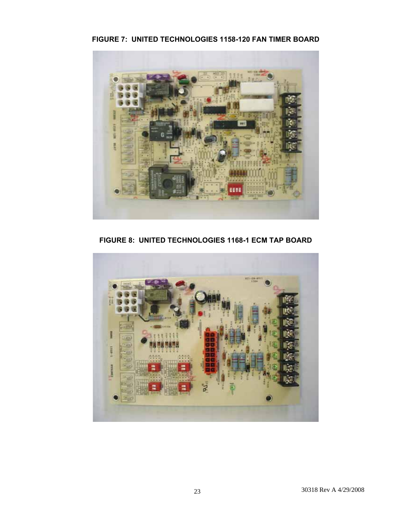**FIGURE 7: UNITED TECHNOLOGIES 1158-120 FAN TIMER BOARD**



**FIGURE 8: UNITED TECHNOLOGIES 1168-1 ECM TAP BOARD** 

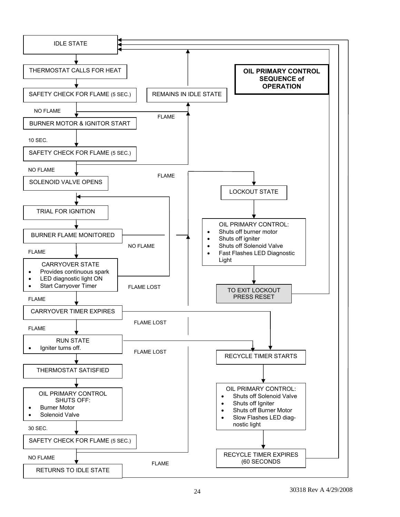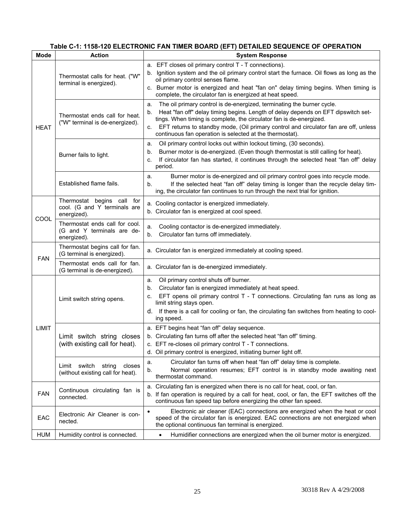## **Table C-1: 1158-120 ELECTRONIC FAN TIMER BOARD (EFT) DETAILED SEQUENCE OF OPERATION**

<span id="page-24-1"></span><span id="page-24-0"></span>

| <b>Mode</b> | <b>Action</b>                                                               | <b>System Response</b>                                                                                                                                                                                                                                                                                                                                                                                   |
|-------------|-----------------------------------------------------------------------------|----------------------------------------------------------------------------------------------------------------------------------------------------------------------------------------------------------------------------------------------------------------------------------------------------------------------------------------------------------------------------------------------------------|
|             | Thermostat calls for heat. ("W"<br>terminal is energized).                  | a. EFT closes oil primary control T - T connections).<br>Ignition system and the oil primary control start the furnace. Oil flows as long as the<br>oil primary control senses flame.<br>c. Burner motor is energized and heat "fan on" delay timing begins. When timing is<br>complete, the circulator fan is energized at heat speed.                                                                  |
| <b>HEAT</b> | Thermostat ends call for heat.<br>("W" terminal is de-energized).           | The oil primary control is de-energized, terminating the burner cycle.<br>a.<br>Heat "fan off" delay timing begins. Length of delay depends on EFT dipswitch set-<br>b.<br>tings. When timing is complete, the circulator fan is de-energized.<br>EFT returns to standby mode, (Oil primary control and circulator fan are off, unless<br>C.<br>continuous fan operation is selected at the thermostat). |
|             | Burner fails to light.                                                      | Oil primary control locks out within lockout timing, (30 seconds).<br>a.<br>Burner motor is de-energized. (Even though thermostat is still calling for heat).<br>b.<br>If circulator fan has started, it continues through the selected heat "fan off" delay<br>c.<br>period.                                                                                                                            |
|             | Established flame fails.                                                    | Burner motor is de-energized and oil primary control goes into recycle mode.<br>a.<br>If the selected heat "fan off" delay timing is longer than the recycle delay tim-<br>b.<br>ing, the circulator fan continues to run through the next trial for ignition.                                                                                                                                           |
| COOL        | Thermostat begins call for<br>cool. (G and Y terminals are<br>energized).   | a. Cooling contactor is energized immediately.<br>b. Circulator fan is energized at cool speed.                                                                                                                                                                                                                                                                                                          |
|             | Thermostat ends call for cool.<br>(G and Y terminals are de-<br>energized). | Cooling contactor is de-energized immediately.<br>a.<br>Circulator fan turns off immediately.<br>b.                                                                                                                                                                                                                                                                                                      |
| <b>FAN</b>  | Thermostat begins call for fan.<br>(G terminal is energized).               | a. Circulator fan is energized immediately at cooling speed.                                                                                                                                                                                                                                                                                                                                             |
|             | Thermostat ends call for fan.<br>(G terminal is de-energized).              | a. Circulator fan is de-energized immediately.                                                                                                                                                                                                                                                                                                                                                           |
|             | Limit switch string opens.                                                  | Oil primary control shuts off burner.<br>a.<br>Circulator fan is energized immediately at heat speed.<br>b.<br>EFT opens oil primary control T - T connections. Circulating fan runs as long as<br>c.<br>limit string stays open.<br>d. If there is a call for cooling or fan, the circulating fan switches from heating to cool-<br>ing speed.                                                          |
| LIMIT       | Limit switch string closes<br>(with existing call for heat).                | a. EFT begins heat "fan off" delay sequence.<br>b. Circulating fan turns off after the selected heat "fan off" timing.<br>c. EFT re-closes oil primary control T - T connections.<br>d. Oil primary control is energized, initiating burner light off.                                                                                                                                                   |
|             | Limit switch string closes<br>(without existing call for heat).             | Circulator fan turns off when heat "fan off" delay time is complete.<br>a.<br>Normal operation resumes; EFT control is in standby mode awaiting next<br>b.<br>thermostat command.                                                                                                                                                                                                                        |
| <b>FAN</b>  | Continuous circulating fan is<br>connected.                                 | a. Circulating fan is energized when there is no call for heat, cool, or fan.<br>b. If fan operation is required by a call for heat, cool, or fan, the EFT switches off the<br>continuous fan speed tap before energizing the other fan speed.                                                                                                                                                           |
| EAC         | Electronic Air Cleaner is con-<br>nected.                                   | Electronic air cleaner (EAC) connections are energized when the heat or cool<br>$\bullet$<br>speed of the circulator fan is energized. EAC connections are not energized when<br>the optional continuous fan terminal is energized.                                                                                                                                                                      |
| <b>HUM</b>  | Humidity control is connected.                                              | Humidifier connections are energized when the oil burner motor is energized.<br>$\bullet$                                                                                                                                                                                                                                                                                                                |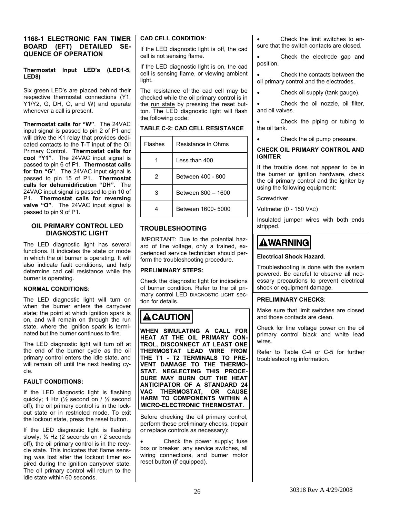#### <span id="page-25-1"></span><span id="page-25-0"></span>**1168-1 ELECTRONIC FAN TIMER BOARD (EFT) DETAILED SE-QUENCE OF OPERATION**

#### **Thermostat Input LED's (LED1-5, LED8)**

Six green LED's are placed behind their respective thermostat connections (Y1, Y1/Y2, G, DH, O, and W) and operate whenever a call is present.

**Thermostat calls for "W"**. The 24VAC input signal is passed to pin 2 of P1 and will drive the K1 relay that provides dedicated contacts to the T-T input of the Oil Primary Control. **Thermostat calls for cool "Y1"**. The 24VAC input signal is passed to pin 6 of P1. **Thermostat calls for fan "G"**. The 24VAC input signal is passed to pin 15 of P1. **Thermostat calls for dehumidification "DH"**. The 24VAC input signal is passed to pin 10 of P1. **Thermostat calls for reversing valve "O"**. The 24VAC input signal is passed to pin 9 of P1.

#### **OIL PRIMARY CONTROL LED DIAGNOSTIC LIGHT**

The LED diagnostic light has several functions. It indicates the state or mode in which the oil burner is operating. It will also indicate fault conditions, and help determine cad cell resistance while the burner is operating.

#### **NORMAL CONDITIONS**:

The LED diagnostic light will turn on when the burner enters the carryover state; the point at which ignition spark is on, and will remain on through the run state, where the ignition spark is terminated but the burner continues to fire.

The LED diagnostic light will turn off at the end of the burner cycle as the oil primary control enters the idle state, and will remain off until the next heating cycle.

#### **FAULT CONDITIONS:**

If the LED diagnostic light is flashing quickly; 1 Hz (½ second on / ½ second off), the oil primary control is in the lockout state or in restricted mode. To exit the lockout state, press the reset button.

If the LED diagnostic light is flashing slowly; ¼ Hz (2 seconds on / 2 seconds off), the oil primary control is in the recycle state. This indicates that flame sensing was lost after the lockout timer expired during the ignition carryover state. The oil primary control will return to the idle state within 60 seconds.

#### **CAD CELL CONDITION**:

If the LED diagnostic light is off, the cad cell is not sensing flame.

If the LED diagnostic light is on, the cad cell is sensing flame, or viewing ambient light.

The resistance of the cad cell may be checked while the oil primary control is in the run state by pressing the reset button. The LED diagnostic light will flash the following code:

#### **TABLE C-2: CAD CELL RESISTANCE**

| <b>Flashes</b> | Resistance in Ohms |
|----------------|--------------------|
|                | Less than 400      |
| 2              | Between 400 - 800  |
| 3              | Between 800 - 1600 |
|                | Between 1600- 5000 |

## **TROUBLESHOOTING**

IMPORTANT: Due to the potential hazard of line voltage, only a trained, experienced service technician should perform the troubleshooting procedure.

#### **PRELIMINARY STEPS:**

Check the diagnostic light for indications of burner condition. Refer to the oil primary control LED DIAGNOSTIC LIGHT section for details.

## **ACAUTION**

**WHEN SIMULATING A CALL FOR HEAT AT THE OIL PRIMARY CON-TROL, DISCONNECT AT LEAST ONE THERMOSTAT LEAD WIRE FROM THE T1 - T2 TERMINALS TO PRE-VENT DAMAGE TO THE THERMO-STAT. NEGLECTING THIS PROCE-DURE MAY BURN OUT THE HEAT ANTICIPATOR OF A STANDARD 24 VAC THERMOSTAT, OR CAUSE HARM TO COMPONENTS WITHIN A MICRO-ELECTRONIC THERMOSTAT.** 

Before checking the oil primary control, perform these preliminary checks, (repair or replace controls as necessary):

Check the power supply; fuse box or breaker, any service switches, all wiring connections, and burner motor reset button (if equipped).

• Check the limit switches to ensure that the switch contacts are closed.

Check the electrode gap and position.

Check the contacts between the oil primary control and the electrodes.

• Check oil supply (tank gauge).

Check the oil nozzle, oil filter, and oil valves.

Check the piping or tubing to the oil tank.

Check the oil pump pressure.

#### **CHECK OIL PRIMARY CONTROL AND IGNITER**

If the trouble does not appear to be in the burner or ignition hardware, check the oil primary control and the igniter by using the following equipment:

Screwdriver.

Voltmeter (0 - 150 VAC)

Insulated jumper wires with both ends stripped.

## **AWARNING**

### **Electrical Shock Hazard**.

Troubleshooting is done with the system powered. Be careful to observe all necessary precautions to prevent electrical shock or equipment damage.

#### **PRELIMINARY CHECKS**:

Make sure that limit switches are closed and those contacts are clean.

Check for line voltage power on the oil primary control black and white lead wires.

Refer to Table C-4 or C-5 for further troubleshooting information.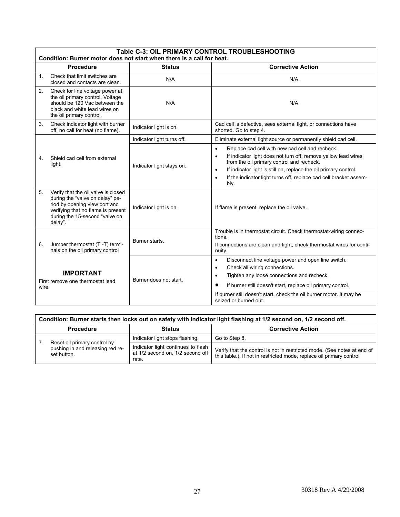<span id="page-26-1"></span><span id="page-26-0"></span>

|                                                               | Table C-3: OIL PRIMARY CONTROL TROUBLESHOOTING<br>Condition: Burner motor does not start when there is a call for heat.                                                                    |                            |                                                                                                                                                                                                                                                                                                                                                                     |  |  |  |  |  |
|---------------------------------------------------------------|--------------------------------------------------------------------------------------------------------------------------------------------------------------------------------------------|----------------------------|---------------------------------------------------------------------------------------------------------------------------------------------------------------------------------------------------------------------------------------------------------------------------------------------------------------------------------------------------------------------|--|--|--|--|--|
|                                                               | <b>Procedure</b>                                                                                                                                                                           | <b>Status</b>              | <b>Corrective Action</b>                                                                                                                                                                                                                                                                                                                                            |  |  |  |  |  |
| $\mathbf{1}$ .                                                | Check that limit switches are<br>closed and contacts are clean.                                                                                                                            | N/A                        | N/A                                                                                                                                                                                                                                                                                                                                                                 |  |  |  |  |  |
| 2.                                                            | Check for line voltage power at<br>the oil primary control. Voltage<br>should be 120 Vac between the<br>black and white lead wires on<br>the oil primary control.                          | N/A                        | N/A                                                                                                                                                                                                                                                                                                                                                                 |  |  |  |  |  |
| 3.                                                            | Check indicator light with burner<br>off, no call for heat (no flame).                                                                                                                     | Indicator light is on.     | Cad cell is defective, sees external light, or connections have<br>shorted. Go to step 4.                                                                                                                                                                                                                                                                           |  |  |  |  |  |
|                                                               |                                                                                                                                                                                            | Indicator light turns off. | Eliminate external light source or permanently shield cad cell.                                                                                                                                                                                                                                                                                                     |  |  |  |  |  |
| Shield cad cell from external<br>4<br>light.                  |                                                                                                                                                                                            | Indicator light stays on.  | Replace cad cell with new cad cell and recheck.<br>$\bullet$<br>If indicator light does not turn off, remove yellow lead wires<br>$\bullet$<br>from the oil primary control and recheck.<br>If indicator light is still on, replace the oil primary control.<br>$\bullet$<br>If the indicator light turns off, replace cad cell bracket assem-<br>$\bullet$<br>bly. |  |  |  |  |  |
| 5.                                                            | Verify that the oil valve is closed<br>during the "valve on delay" pe-<br>riod by opening view port and<br>verifying that no flame is present<br>during the 15-second "valve on<br>delay". | Indicator light is on.     | If flame is present, replace the oil valve.                                                                                                                                                                                                                                                                                                                         |  |  |  |  |  |
| 6.                                                            | Jumper thermostat (T-T) termi-<br>nals on the oil primary control                                                                                                                          | Burner starts.             | Trouble is in thermostat circuit. Check thermostat-wiring connec-<br>tions.<br>If connections are clean and tight, check thermostat wires for conti-<br>nuity.                                                                                                                                                                                                      |  |  |  |  |  |
| <b>IMPORTANT</b><br>First remove one thermostat lead<br>wire. |                                                                                                                                                                                            | Burner does not start.     | Disconnect line voltage power and open line switch.<br>$\bullet$<br>Check all wiring connections.<br>$\bullet$<br>Tighten any loose connections and recheck.<br>$\bullet$<br>If burner still doesn't start, replace oil primary control.<br>If burner still doesn't start, check the oil burner motor. It may be                                                    |  |  |  |  |  |
|                                                               |                                                                                                                                                                                            |                            | seized or burned out.                                                                                                                                                                                                                                                                                                                                               |  |  |  |  |  |

|                  | Condition: Burner starts then locks out on safety with indicator light flashing at 1/2 second on, 1/2 second off. |                                                                                 |                                                                                                                                                 |  |  |  |  |
|------------------|-------------------------------------------------------------------------------------------------------------------|---------------------------------------------------------------------------------|-------------------------------------------------------------------------------------------------------------------------------------------------|--|--|--|--|
| <b>Procedure</b> |                                                                                                                   | <b>Status</b>                                                                   | <b>Corrective Action</b>                                                                                                                        |  |  |  |  |
|                  |                                                                                                                   | Indicator light stops flashing.                                                 | Go to Step 8.                                                                                                                                   |  |  |  |  |
|                  | Reset oil primary control by<br>pushing in and releasing red re-<br>set button.                                   | Indicator light continues to flash<br>at 1/2 second on, 1/2 second off<br>rate. | Verify that the control is not in restricted mode. (See notes at end of<br>this table.). If not in restricted mode, replace oil primary control |  |  |  |  |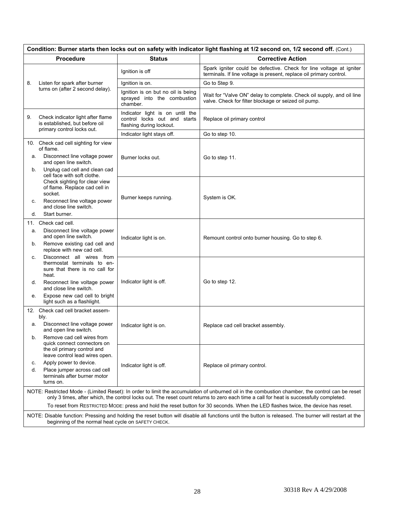|                                                                                                                                                                                                                                                                                                                                                                                                                               | Condition: Burner starts then locks out on safety with indicator light flashing at 1/2 second on, 1/2 second off. (Cont.)                                                                                    |                                                                                             |                                                                                                                                            |  |  |
|-------------------------------------------------------------------------------------------------------------------------------------------------------------------------------------------------------------------------------------------------------------------------------------------------------------------------------------------------------------------------------------------------------------------------------|--------------------------------------------------------------------------------------------------------------------------------------------------------------------------------------------------------------|---------------------------------------------------------------------------------------------|--------------------------------------------------------------------------------------------------------------------------------------------|--|--|
| <b>Procedure</b>                                                                                                                                                                                                                                                                                                                                                                                                              |                                                                                                                                                                                                              | <b>Status</b>                                                                               | <b>Corrective Action</b>                                                                                                                   |  |  |
|                                                                                                                                                                                                                                                                                                                                                                                                                               |                                                                                                                                                                                                              | Ignition is off                                                                             | Spark igniter could be defective. Check for line voltage at igniter<br>terminals. If line voltage is present, replace oil primary control. |  |  |
| 8.                                                                                                                                                                                                                                                                                                                                                                                                                            | Listen for spark after burner                                                                                                                                                                                | Ignition is on.                                                                             | Go to Step 9.                                                                                                                              |  |  |
| turns on (after 2 second delay).                                                                                                                                                                                                                                                                                                                                                                                              |                                                                                                                                                                                                              | Ignition is on but no oil is being<br>sprayed into the combustion<br>chamber.               | Wait for "Valve ON" delay to complete. Check oil supply, and oil line<br>valve. Check for filter blockage or seized oil pump.              |  |  |
| 9.                                                                                                                                                                                                                                                                                                                                                                                                                            | Check indicator light after flame<br>is established, but before oil<br>primary control locks out.                                                                                                            | Indicator light is on until the<br>control locks out and starts<br>flashing during lockout. | Replace oil primary control                                                                                                                |  |  |
|                                                                                                                                                                                                                                                                                                                                                                                                                               |                                                                                                                                                                                                              | Indicator light stays off.                                                                  | Go to step 10.                                                                                                                             |  |  |
|                                                                                                                                                                                                                                                                                                                                                                                                                               | 10. Check cad cell sighting for view<br>of flame.                                                                                                                                                            |                                                                                             |                                                                                                                                            |  |  |
| а.                                                                                                                                                                                                                                                                                                                                                                                                                            | Disconnect line voltage power<br>and open line switch.                                                                                                                                                       | Burner locks out.                                                                           | Go to step 11.                                                                                                                             |  |  |
| b.                                                                                                                                                                                                                                                                                                                                                                                                                            | Unplug cad cell and clean cad<br>cell face with soft clothe.                                                                                                                                                 |                                                                                             |                                                                                                                                            |  |  |
| С.                                                                                                                                                                                                                                                                                                                                                                                                                            | Check sighting for clear view<br>of flame. Replace cad cell in<br>socket.<br>Reconnect line voltage power                                                                                                    | Burner keeps running.                                                                       | System is OK.                                                                                                                              |  |  |
| d.                                                                                                                                                                                                                                                                                                                                                                                                                            | and close line switch.<br>Start burner.                                                                                                                                                                      |                                                                                             |                                                                                                                                            |  |  |
| 11.                                                                                                                                                                                                                                                                                                                                                                                                                           | Check cad cell.                                                                                                                                                                                              |                                                                                             |                                                                                                                                            |  |  |
| а.                                                                                                                                                                                                                                                                                                                                                                                                                            | Disconnect line voltage power<br>and open line switch.                                                                                                                                                       | Indicator light is on.                                                                      | Remount control onto burner housing. Go to step 6.                                                                                         |  |  |
| b.                                                                                                                                                                                                                                                                                                                                                                                                                            | Remove existing cad cell and<br>replace with new cad cell.                                                                                                                                                   |                                                                                             |                                                                                                                                            |  |  |
| с.                                                                                                                                                                                                                                                                                                                                                                                                                            | Disconnect all wires from<br>thermostat terminals to en-<br>sure that there is no call for<br>heat.                                                                                                          |                                                                                             |                                                                                                                                            |  |  |
| d.                                                                                                                                                                                                                                                                                                                                                                                                                            | Reconnect line voltage power<br>and close line switch.                                                                                                                                                       | Indicator light is off.                                                                     | Go to step 12.                                                                                                                             |  |  |
| е.                                                                                                                                                                                                                                                                                                                                                                                                                            | Expose new cad cell to bright<br>light such as a flashlight.                                                                                                                                                 |                                                                                             |                                                                                                                                            |  |  |
|                                                                                                                                                                                                                                                                                                                                                                                                                               | 12. Check cad cell bracket assem-<br>bly.                                                                                                                                                                    |                                                                                             |                                                                                                                                            |  |  |
| а.                                                                                                                                                                                                                                                                                                                                                                                                                            | Disconnect line voltage power<br>and open line switch.                                                                                                                                                       | Indicator light is on.                                                                      | Replace cad cell bracket assembly.                                                                                                         |  |  |
| b.                                                                                                                                                                                                                                                                                                                                                                                                                            | Remove cad cell wires from                                                                                                                                                                                   |                                                                                             |                                                                                                                                            |  |  |
|                                                                                                                                                                                                                                                                                                                                                                                                                               | quick connect connectors on<br>the oil primary control and<br>leave control lead wires open.                                                                                                                 |                                                                                             |                                                                                                                                            |  |  |
| c.                                                                                                                                                                                                                                                                                                                                                                                                                            | Apply power to device.                                                                                                                                                                                       | Indicator light is off.                                                                     | Replace oil primary control.                                                                                                               |  |  |
| d.                                                                                                                                                                                                                                                                                                                                                                                                                            | Place jumper across cad cell<br>terminals after burner motor<br>turns on.                                                                                                                                    |                                                                                             |                                                                                                                                            |  |  |
| NOTE: Restricted Mode - (Limited Reset): In order to limit the accumulation of unburned oil in the combustion chamber, the control can be reset<br>only 3 times, after which, the control locks out. The reset count returns to zero each time a call for heat is successfully completed.<br>To reset from RESTRICTED MODE: press and hold the reset button for 30 seconds. When the LED flashes twice, the device has reset. |                                                                                                                                                                                                              |                                                                                             |                                                                                                                                            |  |  |
|                                                                                                                                                                                                                                                                                                                                                                                                                               | NOTE: Disable function: Pressing and holding the reset button will disable all functions until the button is released. The burner will restart at the<br>beginning of the normal heat cycle on SAFETY CHECK. |                                                                                             |                                                                                                                                            |  |  |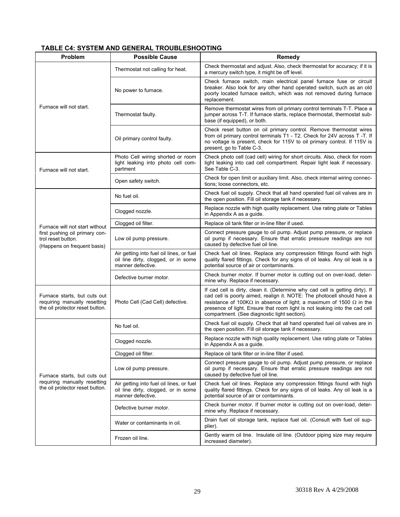## <span id="page-28-0"></span>**TABLE C4: SYSTEM AND GENERAL TROUBLESHOOTING**

<span id="page-28-1"></span>

| Problem                                                                                         | <b>Possible Cause</b>                                                                                | <b>Remedy</b>                                                                                                                                                                                                                                                                                                                                                                |
|-------------------------------------------------------------------------------------------------|------------------------------------------------------------------------------------------------------|------------------------------------------------------------------------------------------------------------------------------------------------------------------------------------------------------------------------------------------------------------------------------------------------------------------------------------------------------------------------------|
|                                                                                                 | Thermostat not calling for heat.                                                                     | Check thermostat and adjust. Also, check thermostat for accuracy; if it is<br>a mercury switch type, it might be off level.                                                                                                                                                                                                                                                  |
|                                                                                                 | No power to furnace.                                                                                 | Check furnace switch, main electrical panel furnace fuse or circuit<br>breaker. Also look for any other hand operated switch, such as an old<br>poorly located furnace switch, which was not removed during furnace<br>replacement.                                                                                                                                          |
| Furnace will not start.                                                                         | Thermostat faulty.                                                                                   | Remove thermostat wires from oil primary control terminals T-T. Place a<br>jumper across T-T. If furnace starts, replace thermostat, thermostat sub-<br>base (if equipped), or both.                                                                                                                                                                                         |
|                                                                                                 | Oil primary control faulty.                                                                          | Check reset button on oil primary control. Remove thermostat wires<br>from oil primary control terminals T1 - T2. Check for 24V across T -T. If<br>no voltage is present, check for 115V to oil primary control. If 115V is<br>present, go to Table C-3.                                                                                                                     |
| Furnace will not start.                                                                         | Photo Cell wiring shorted or room<br>light leaking into photo cell com-<br>partment                  | Check photo cell (cad cell) wiring for short circuits. Also, check for room<br>light leaking into cad cell compartment. Repair light leak if necessary.<br>See Table C-3.                                                                                                                                                                                                    |
|                                                                                                 | Open safety switch.                                                                                  | Check for open limit or auxiliary limit. Also, check internal wiring connec-<br>tions; loose connectors, etc.                                                                                                                                                                                                                                                                |
|                                                                                                 | No fuel oil.                                                                                         | Check fuel oil supply. Check that all hand operated fuel oil valves are in<br>the open position. Fill oil storage tank if necessary.                                                                                                                                                                                                                                         |
|                                                                                                 | Clogged nozzle.                                                                                      | Replace nozzle with high quality replacement. Use rating plate or Tables<br>in Appendix A as a guide.                                                                                                                                                                                                                                                                        |
| Furnace will not start without                                                                  | Clogged oil filter.                                                                                  | Replace oil tank filter or in-line filter if used.                                                                                                                                                                                                                                                                                                                           |
| first pushing oil primary con-<br>trol reset button.<br>(Happens on frequent basis)             | Low oil pump pressure.                                                                               | Connect pressure gauge to oil pump. Adjust pump pressure, or replace<br>oil pump if necessary. Ensure that erratic pressure readings are not<br>caused by defective fuel oil line.                                                                                                                                                                                           |
|                                                                                                 | Air getting into fuel oil lines, or fuel<br>oil line dirty, clogged, or in some<br>manner defective. | Check fuel oil lines. Replace any compression fittings found with high<br>quality flared fittings. Check for any signs of oil leaks. Any oil leak is a<br>potential source of air or contaminants.                                                                                                                                                                           |
|                                                                                                 | Defective burner motor.                                                                              | Check burner motor. If burner motor is cutting out on over-load, deter-<br>mine why. Replace if necessary.                                                                                                                                                                                                                                                                   |
| Furnace starts, but cuts out<br>requiring manually resetting<br>the oil protector reset button. | Photo Cell (Cad Cell) defective.                                                                     | If cad cell is dirty, clean it. (Determine why cad cell is getting dirty). If<br>cad cell is poorly aimed, realign it. NOTE: The photocell should have a<br>resistance of 100K $\Omega$ in absence of light; a maximum of 1500 $\Omega$ in the<br>presence of light. Ensure that room light is not leaking into the cad cell<br>compartment. (See diagnostic light section). |
|                                                                                                 | No fuel oil.                                                                                         | Check fuel oil supply. Check that all hand operated fuel oil valves are in<br>the open position. Fill oil storage tank if necessary.                                                                                                                                                                                                                                         |
|                                                                                                 | Clogged nozzle.                                                                                      | Replace nozzle with high quality replacement. Use rating plate or Tables<br>in Appendix A as a guide.                                                                                                                                                                                                                                                                        |
|                                                                                                 | Clogged oil filter.                                                                                  | Replace oil tank filter or in-line filter if used.                                                                                                                                                                                                                                                                                                                           |
| Furnace starts, but cuts out                                                                    | Low oil pump pressure.                                                                               | Connect pressure gauge to oil pump. Adjust pump pressure, or replace<br>oil pump if necessary. Ensure that erratic pressure readings are not<br>caused by defective fuel oil line.                                                                                                                                                                                           |
| requiring manually resetting<br>the oil protector reset button.                                 | Air getting into fuel oil lines, or fuel<br>oil line dirty, clogged, or in some<br>manner defective. | Check fuel oil lines. Replace any compression fittings found with high<br>quality flared fittings. Check for any signs of oil leaks. Any oil leak is a<br>potential source of air or contaminants.                                                                                                                                                                           |
|                                                                                                 | Defective burner motor.                                                                              | Check burner motor. If burner motor is cutting out on over-load, deter-<br>mine why. Replace if necessary.                                                                                                                                                                                                                                                                   |
|                                                                                                 | Water or contaminants in oil.                                                                        | Drain fuel oil storage tank, replace fuel oil. (Consult with fuel oil sup-<br>plier).                                                                                                                                                                                                                                                                                        |
|                                                                                                 | Frozen oil line.                                                                                     | Gently warm oil line. Insulate oil line. (Outdoor piping size may require<br>increased diameter).                                                                                                                                                                                                                                                                            |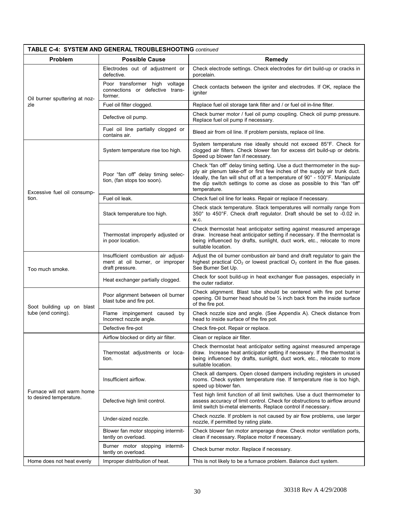| TABLE C-4: SYSTEM AND GENERAL TROUBLESHOOTING continued |                                                                                           |                                                                                                                                                                                                                                                                                                                               |  |  |
|---------------------------------------------------------|-------------------------------------------------------------------------------------------|-------------------------------------------------------------------------------------------------------------------------------------------------------------------------------------------------------------------------------------------------------------------------------------------------------------------------------|--|--|
| Problem<br><b>Possible Cause</b>                        |                                                                                           | Remedy                                                                                                                                                                                                                                                                                                                        |  |  |
|                                                         | Electrodes out of adjustment or<br>defective.                                             | Check electrode settings. Check electrodes for dirt build-up or cracks in<br>porcelain.                                                                                                                                                                                                                                       |  |  |
| Oil burner sputtering at noz-                           | Poor transformer high voltage<br>connections or defective trans-<br>former.               | Check contacts between the igniter and electrodes. If OK, replace the<br>igniter                                                                                                                                                                                                                                              |  |  |
| zle                                                     | Fuel oil filter clogged.                                                                  | Replace fuel oil storage tank filter and / or fuel oil in-line filter.                                                                                                                                                                                                                                                        |  |  |
|                                                         | Defective oil pump.                                                                       | Check burner motor / fuel oil pump coupling. Check oil pump pressure.<br>Replace fuel oil pump if necessary.                                                                                                                                                                                                                  |  |  |
|                                                         | Fuel oil line partially clogged or<br>contains air.                                       | Bleed air from oil line. If problem persists, replace oil line.                                                                                                                                                                                                                                                               |  |  |
|                                                         | System temperature rise too high.                                                         | System temperature rise ideally should not exceed 85°F. Check for<br>clogged air filters. Check blower fan for excess dirt build-up or debris.<br>Speed up blower fan if necessary.                                                                                                                                           |  |  |
| Excessive fuel oil consump-                             | Poor "fan off" delay timing selec-<br>tion, (fan stops too soon).                         | Check "fan off" delay timing setting. Use a duct thermometer in the sup-<br>ply air plenum take-off or first few inches of the supply air trunk duct.<br>Ideally, the fan will shut off at a temperature of 90° - 100°F. Manipulate<br>the dip switch settings to come as close as possible to this "fan off"<br>temperature. |  |  |
| tion.                                                   | Fuel oil leak.                                                                            | Check fuel oil line for leaks. Repair or replace if necessary.                                                                                                                                                                                                                                                                |  |  |
|                                                         | Stack temperature too high.                                                               | Check stack temperature. Stack temperatures will normally range from<br>350° to 450°F. Check draft regulator. Draft should be set to -0.02 in.<br>W.C.                                                                                                                                                                        |  |  |
|                                                         | Thermostat improperly adjusted or<br>in poor location.                                    | Check thermostat heat anticipator setting against measured amperage<br>draw. Increase heat anticipator setting if necessary. If the thermostat is<br>being influenced by drafts, sunlight, duct work, etc., relocate to more<br>suitable location.                                                                            |  |  |
| Too much smoke.                                         | Insufficient combustion air adjust-<br>ment at oil burner, or improper<br>draft pressure. | Adjust the oil burner combustion air band and draft regulator to gain the<br>highest practical $CO2$ or lowest practical $O2$ content in the flue gases.<br>See Burner Set Up.                                                                                                                                                |  |  |
|                                                         | Heat exchanger partially clogged.                                                         | Check for soot build-up in heat exchanger flue passages, especially in<br>the outer radiator.                                                                                                                                                                                                                                 |  |  |
| Soot building up on blast                               | Poor alignment between oil burner<br>blast tube and fire pot.                             | Check alignment. Blast tube should be centered with fire pot burner<br>opening. Oil burner head should be 1/4 inch back from the inside surface<br>of the fire pot.                                                                                                                                                           |  |  |
| tube (end coning).                                      | Flame impingement caused by<br>Incorrect nozzle angle.                                    | Check nozzle size and angle. (See Appendix A). Check distance from<br>head to inside surface of the fire pot.                                                                                                                                                                                                                 |  |  |
|                                                         | Defective fire-pot                                                                        | Check fire-pot. Repair or replace.                                                                                                                                                                                                                                                                                            |  |  |
|                                                         | Airflow blocked or dirty air filter.                                                      | Clean or replace air filter.                                                                                                                                                                                                                                                                                                  |  |  |
|                                                         | Thermostat adjustments or loca-<br>tion.                                                  | Check thermostat heat anticipator setting against measured amperage<br>draw. Increase heat anticipator setting if necessary. If the thermostat is<br>being influenced by drafts, sunlight, duct work, etc., relocate to more<br>suitable location.                                                                            |  |  |
|                                                         | Insufficient airflow.                                                                     | Check all dampers. Open closed dampers including registers in unused<br>rooms. Check system temperature rise. If temperature rise is too high,<br>speed up blower fan.                                                                                                                                                        |  |  |
| Furnace will not warm home<br>to desired temperature.   | Defective high limit control.                                                             | Test high limit function of all limit switches. Use a duct thermometer to<br>assess accuracy of limit control. Check for obstructions to airflow around<br>limit switch bi-metal elements. Replace control if necessary.                                                                                                      |  |  |
|                                                         | Under-sized nozzle.                                                                       | Check nozzle. If problem is not caused by air flow problems, use larger<br>nozzle, if permitted by rating plate.                                                                                                                                                                                                              |  |  |
|                                                         | Blower fan motor stopping intermit-<br>tently on overload.                                | Check blower fan motor amperage draw. Check motor ventilation ports,<br>clean if necessary. Replace motor if necessary.                                                                                                                                                                                                       |  |  |
|                                                         | Burner motor stopping intermit-<br>tently on overload.                                    | Check burner motor. Replace if necessary.                                                                                                                                                                                                                                                                                     |  |  |
| Home does not heat evenly                               | Improper distribution of heat.                                                            | This is not likely to be a furnace problem. Balance duct system.                                                                                                                                                                                                                                                              |  |  |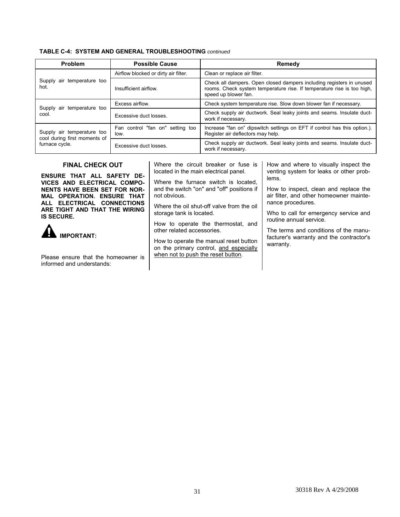<span id="page-30-0"></span>

| <b>Problem</b>                                             | <b>Possible Cause</b>                    | Remedy                                                                                                                                                                 |  |
|------------------------------------------------------------|------------------------------------------|------------------------------------------------------------------------------------------------------------------------------------------------------------------------|--|
|                                                            | Airflow blocked or dirty air filter.     | Clean or replace air filter.                                                                                                                                           |  |
| Supply air temperature too<br>hot.                         | Insufficient airflow.                    | Check all dampers. Open closed dampers including registers in unused<br>rooms. Check system temperature rise. If temperature rise is too high,<br>speed up blower fan. |  |
|                                                            | Excess airflow.                          | Check system temperature rise. Slow down blower fan if necessary.                                                                                                      |  |
| Supply air temperature too<br>cool.                        | Excessive duct losses.                   | Check supply air ductwork. Seal leaky joints and seams. Insulate duct-<br>work if necessary.                                                                           |  |
| Supply air temperature too<br>cool during first moments of | Fan control "fan on" setting too<br>low. | Increase "fan on" dipswitch settings on EFT if control has this option.).<br>Register air deflectors may help.                                                         |  |
| furnace cycle.                                             | Excessive duct losses.                   | Check supply air ductwork. Seal leaky joints and seams. Insulate duct-<br>work if necessary.                                                                           |  |

#### **FINAL CHECK OUT**

<span id="page-30-1"></span>**ENSURE THAT ALL SAFETY DE-VICES AND ELECTRICAL COMPO-NENTS HAVE BEEN SET FOR NOR-MAL OPERATION. ENSURE THAT ALL ELECTRICAL CONNECTIONS ARE TIGHT AND THAT THE WIRING IS SECURE.**



Please ensure that the homeowner is informed and understands:

Where the circuit breaker or fuse is located in the main electrical panel.

Where the furnace switch is located, and the switch "on" and "off" positions if not obvious.

Where the oil shut-off valve from the oil storage tank is located.

How to operate the thermostat, and other related accessories.

How to operate the manual reset button on the primary control, and especially when not to push the reset button.

How and where to visually inspect the venting system for leaks or other problems.

How to inspect, clean and replace the air filter, and other homeowner maintenance procedures.

Who to call for emergency service and routine annual service.

The terms and conditions of the manufacturer's warranty and the contractor's warranty.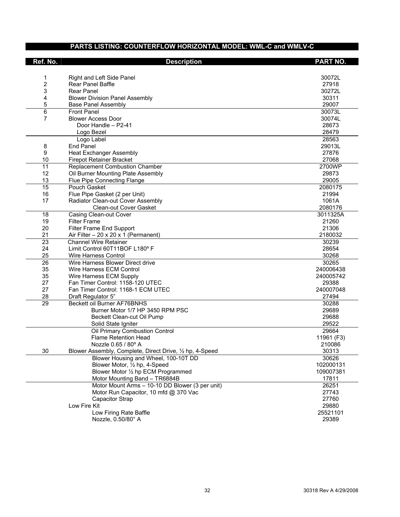## **PARTS LISTING: COUNTERFLOW HORIZONTAL MODEL: WML-C and WMLV-C**

<span id="page-31-1"></span><span id="page-31-0"></span>

| Ref. No.        | <b>Description</b>                                       | <b>PART NO.</b> |
|-----------------|----------------------------------------------------------|-----------------|
|                 |                                                          |                 |
| 1               | Right and Left Side Panel                                | 30072L          |
| 2               | <b>Rear Panel Baffle</b>                                 | 27918           |
| 3               | <b>Rear Panel</b>                                        | 30272L          |
| 4               | <b>Blower Division Panel Assembly</b>                    | 30311           |
| 5               | <b>Base Panel Assembly</b>                               | 29007           |
| 6               | <b>Front Panel</b>                                       | 30073L          |
| 7               | <b>Blower Access Door</b>                                | 30074L          |
|                 | Door Handle - P2-41                                      | 28673           |
|                 | Logo Bezel                                               | 28479           |
|                 | Logo Label                                               | 28563           |
| 8               | <b>End Panel</b>                                         | 29013L          |
| 9               | <b>Heat Exchanger Assembly</b>                           | 27876           |
| 10              | <b>Firepot Retainer Bracket</b>                          | 27068           |
| 11              | <b>Replacement Combustion Chamber</b>                    | 2700WP          |
| 12              | Oil Burner Mounting Plate Assembly                       | 29873           |
| 13              | Flue Pipe Connecting Flange                              | 29005           |
| $\overline{15}$ | Pouch Gasket                                             | 2080175         |
| 16              | Flue Pipe Gasket (2 per Unit)                            | 21994           |
| 17              | Radiator Clean-out Cover Assembly                        | 1061A           |
|                 | <b>Clean-out Cover Gasket</b>                            | 2080176         |
| 18              | Casing Clean-out Cover                                   | 3011325A        |
| 19              | <b>Filter Frame</b>                                      | 21260           |
| 20              | Filter Frame End Support                                 | 21306           |
| 21              | Air Filter $-20 \times 20 \times 1$ (Permanent)          | 2180032         |
| $\overline{23}$ | <b>Channel Wire Retainer</b>                             | 30239           |
| 24              | Limit Control 60T11BOF L180° F                           | 28654           |
| 25              | Wire Harness Control                                     | 30268           |
| 26              | Wire Harness Blower Direct drive                         | 30265           |
| 35              | Wire Harness ECM Control                                 | 240006438       |
| 35              | Wire Harness ECM Supply                                  | 240005742       |
| 27              | Fan Timer Control: 1158-120 UTEC                         | 29388           |
| 27              | Fan Timer Control: 1168-1 ECM UTEC                       | 240007048       |
| 28              | Draft Regulator 5"                                       | 27494           |
| 29              | Beckett oil Burner AF76BNHS                              | 30288           |
|                 | Burner Motor 1/7 HP 3450 RPM PSC                         | 29689           |
|                 | Beckett Clean-cut Oil Pump                               | 29688           |
|                 | Solid State Igniter                                      | 29522           |
|                 | Oil Primary Combustion Control                           | 29664           |
|                 | <b>Flame Retention Head</b>                              | 11961 (F3)      |
|                 | Nozzle 0.65 / 80° A                                      | 210086          |
| 30              | Blower Assembly, Complete, Direct Drive, 1/2 hp, 4-Speed | 30313           |
|                 | Blower Housing and Wheel, 100-10T DD                     | 30626           |
|                 | Blower Motor, 1/2 hp, 4-Speed                            | 102000131       |
|                 | Blower Motor 1/2 hp ECM Programmed                       | 109007381       |
|                 | Motor Mounting Band - TR6884B                            | 17811           |
|                 | Motor Mount Arms - 10-10 DD Blower (3 per unit)          | 26251           |
|                 | Motor Run Capacitor, 10 mfd @ 370 Vac                    | 27743           |
|                 | <b>Capacitor Strap</b>                                   | 27760           |
|                 | Low Fire Kit                                             | 29880           |
|                 | Low Firing Rate Baffle                                   | 25521101        |
|                 | Nozzle, 0.50/80° A                                       | 29389           |
|                 |                                                          |                 |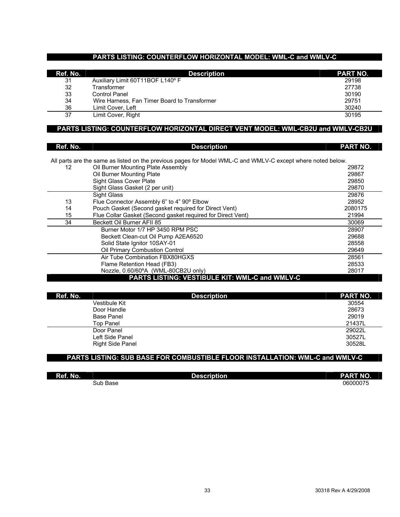### **PARTS LISTING: COUNTERFLOW HORIZONTAL MODEL: WML-C and WMLV-C**

| Ref. No. | <b>Description</b>                           | <b>PART NO.</b> |
|----------|----------------------------------------------|-----------------|
| 31       | Auxiliary Limit 60T11BOF L140°F              | 29198           |
| 32       | <b>Fransformer</b>                           | 27738           |
| 33       | Control Panel                                | 30190           |
| 34       | Wire Harness, Fan Timer Board to Transformer | 29751           |
| 36       | Limit Cover, Left                            | 30240           |
| 37       | Limit Cover, Right                           | 30195           |

### **PARTS LISTING: COUNTERFLOW HORIZONTAL DIRECT VENT MODEL: WML-CB2U and WMLV-CB2U**

| Ref. No. | <b>Description</b>                                                                                          | <b>PART NO.</b> |
|----------|-------------------------------------------------------------------------------------------------------------|-----------------|
|          | All parts are the same as listed on the previous pages for Model WML-C and WMLV-C except where noted below. |                 |
| 12       | Oil Burner Mounting Plate Assembly                                                                          | 29872           |
|          | Oil Burner Mounting Plate                                                                                   | 29867           |
|          | Sight Glass Cover Plate                                                                                     | 29850           |
|          | Sight Glass Gasket (2 per unit)                                                                             | 29870           |
|          | Sight Glass                                                                                                 | 29876           |
| 13       | Flue Connector Assembly 6" to 4" 90° Elbow                                                                  | 28952           |
| 14       | Pouch Gasket (Second gasket required for Direct Vent)                                                       | 2080175         |
| 15       | Flue Collar Gasket (Second gasket required for Direct Vent)                                                 | 21994           |
| 34       | Beckett Oil Burner AFII 85                                                                                  | 30069           |
|          | Burner Motor 1/7 HP 3450 RPM PSC                                                                            | 28907           |
|          | Beckett Clean-cut Oil Pump A2EA6520                                                                         | 29688           |
|          | Solid State Ignitor 10SAY-01                                                                                | 28558           |
|          | Oil Primary Combustion Control                                                                              | 29649           |
|          | Air Tube Combination FBX80HGXS                                                                              | 28561           |
|          | Flame Retention Head (FB3)                                                                                  | 28533           |
|          | Nozzle, 0.60/60°A (WML-80CB2U only)                                                                         | 28017           |
|          | <b>PARTS LISTING: VESTIBULE KIT: WML-C and WMLV-C</b>                                                       |                 |

| Ref. No.          | <b>Description</b> | <b>PART NO.</b> |
|-------------------|--------------------|-----------------|
| Vestibule Kit     |                    | 30554           |
| Door Handle       |                    | 28673           |
| <b>Base Panel</b> |                    | 29019           |
| <b>Top Panel</b>  |                    | 21437L          |
| Door Panel        |                    | 29022L          |
| Left Side Panel   |                    | 30527L          |
| Right Side Panel  |                    | 30528L          |

## **PARTS LISTING: SUB BASE FOR COMBUSTIBLE FLOOR INSTALLATION: WML-C and WMLV-C**

| Ref. No. | <b>Description</b> | <b>PART NO.</b> |
|----------|--------------------|-----------------|
| Sub Base |                    | 06000075        |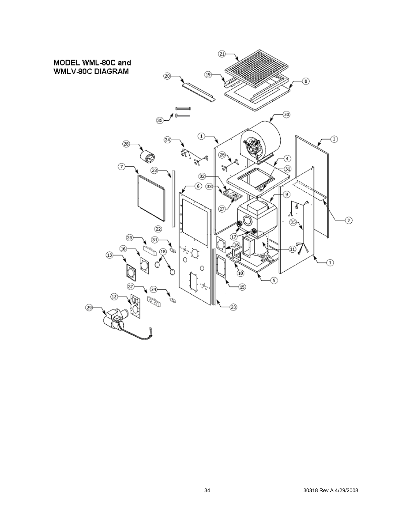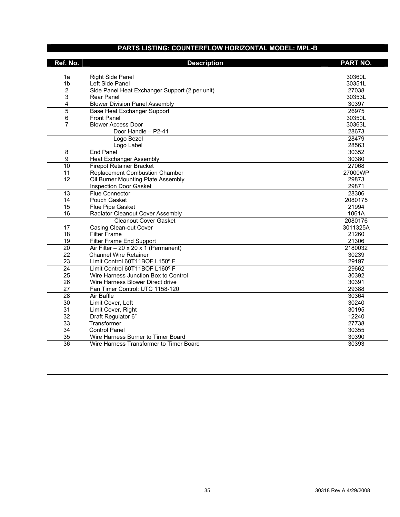## **PARTS LISTING: COUNTERFLOW HORIZONTAL MODEL: MPL-B**

<span id="page-34-1"></span><span id="page-34-0"></span>

| Ref. No.        | <b>Description</b>                              | <b>PART NO.</b> |
|-----------------|-------------------------------------------------|-----------------|
| 1a              | <b>Right Side Panel</b>                         | 30360L          |
| 1 <sub>b</sub>  | Left Side Panel                                 | 30351L          |
| $\overline{c}$  | Side Panel Heat Exchanger Support (2 per unit)  | 27038           |
| 3               | Rear Panel                                      | 30353L          |
| 4               | <b>Blower Division Panel Assembly</b>           | 30397           |
| $\overline{5}$  | <b>Base Heat Exchanger Support</b>              | 26975           |
| 6               | <b>Front Panel</b>                              | 30350L          |
| $\overline{7}$  | <b>Blower Access Door</b>                       | 30363L          |
|                 | Door Handle - P2-41                             | 28673           |
|                 | Logo Bezel                                      | 28479           |
|                 | Logo Label                                      | 28563           |
| 8               | <b>End Panel</b>                                | 30352           |
| 9               | <b>Heat Exchanger Assembly</b>                  | 30380           |
| 10              | <b>Firepot Retainer Bracket</b>                 | 27068           |
| 11              | <b>Replacement Combustion Chamber</b>           | 27000WP         |
| 12              | Oil Burner Mounting Plate Assembly              | 29873           |
|                 | Inspection Door Gasket                          | 29871           |
| 13              | <b>Flue Connector</b>                           | 28306           |
| 14              | Pouch Gasket                                    | 2080175         |
| 15              | Flue Pipe Gasket                                | 21994           |
| 16              | Radiator Cleanout Cover Assembly                | 1061A           |
|                 | <b>Cleanout Cover Gasket</b>                    | 2080176         |
| 17              | Casing Clean-out Cover                          | 3011325A        |
| 18              | <b>Filter Frame</b>                             | 21260           |
| 19              | Filter Frame End Support                        | 21306           |
| $\overline{20}$ | Air Filter $-20 \times 20 \times 1$ (Permanent) | 2180032         |
| 22              | <b>Channel Wire Retainer</b>                    | 30239           |
| 23              | Limit Control 60T11BOF L150° F                  | 29197           |
| $\overline{24}$ | Limit Control 60T11BOF L160° F                  | 29662           |
| 25              | Wire Harness Junction Box to Control            | 30392           |
| 26              | Wire Harness Blower Direct drive                | 30391           |
| 27              | Fan Timer Control: UTC 1158-120                 | 29388           |
| 28              | Air Baffle                                      | 30364           |
| 30              | Limit Cover, Left                               | 30240           |
| 31              | Limit Cover, Right                              | 30195           |
| $\overline{32}$ | Draft Regulator 6"                              | 12240           |
| 33              | Transformer                                     | 27738           |
| 34              | <b>Control Panel</b>                            | 30355           |
| 35              | Wire Harness Burner to Timer Board              | 30390           |
| $\overline{36}$ | Wire Harness Transformer to Timer Board         | 30393           |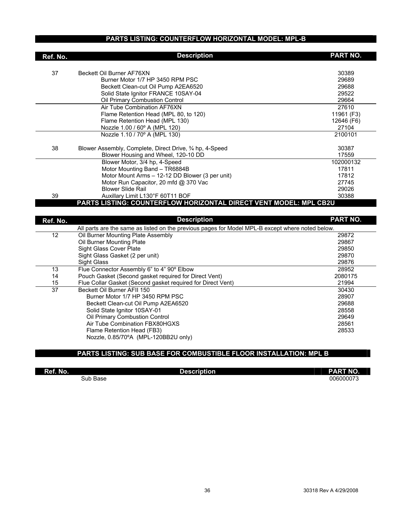## **PARTS LISTING: COUNTERFLOW HORIZONTAL MODEL: MPL-B**

| Ref. No.        | <b>Description</b>                                                                               | <b>PART NO.</b> |
|-----------------|--------------------------------------------------------------------------------------------------|-----------------|
|                 |                                                                                                  |                 |
| 37              | Beckett Oil Burner AF76XN                                                                        | 30389           |
|                 | Burner Motor 1/7 HP 3450 RPM PSC                                                                 | 29689           |
|                 | Beckett Clean-cut Oil Pump A2EA6520                                                              | 29688           |
|                 | Solid State Ignitor FRANCE 10SAY-04                                                              | 29522           |
|                 | Oil Primary Combustion Control                                                                   | 29664           |
|                 | Air Tube Combination AF76XN                                                                      | 27610           |
|                 | Flame Retention Head (MPL 80, to 120)                                                            | 11961 (F3)      |
|                 | Flame Retention Head (MPL 130)                                                                   | 12646 (F6)      |
|                 | Nozzle 1.00 / 60° A (MPL 120)                                                                    | 27104           |
|                 | Nozzle 1.10 / 70° A (MPL 130)                                                                    | 2100101         |
| 38              | Blower Assembly, Complete, Direct Drive, 3⁄4 hp, 4-Speed                                         | 30387           |
|                 | Blower Housing and Wheel, 120-10 DD                                                              | 17559           |
|                 | Blower Motor, 3/4 hp, 4-Speed                                                                    | 102000132       |
|                 | Motor Mounting Band - TR6884B                                                                    | 17811           |
|                 | Motor Mount Arms - 12-12 DD Blower (3 per unit)                                                  | 17812           |
|                 | Motor Run Capacitor, 20 mfd @ 370 Vac                                                            | 27745           |
|                 | <b>Blower Slide Rail</b>                                                                         | 29026           |
| 39              | Auxillary Limit L130°F 60T11 BOF                                                                 | 30388           |
|                 | PARTS LISTING: COUNTERFLOW HORIZONTAL DIRECT VENT MODEL: MPL CB2U                                |                 |
|                 |                                                                                                  |                 |
| Ref. No.        | <b>Description</b>                                                                               | PART NO.        |
|                 | All parts are the same as listed on the previous pages for Model MPL-B except where noted below. |                 |
| $\overline{12}$ | Oil Burner Mounting Plate Assembly                                                               | 29872           |
|                 | Oil Burner Mounting Plate                                                                        | 29867           |
|                 | Sight Glass Cover Plate                                                                          | 29850           |
|                 | Sight Glass Gasket (2 per unit)                                                                  | 29870           |
|                 | <b>Sight Glass</b>                                                                               | 29876           |
| 13              | Flue Connector Assembly 6" to 4" 90° Elbow                                                       | 28952           |
| 14              | Pouch Gasket (Second gasket required for Direct Vent)                                            | 2080175         |
| 15              | Flue Collar Gasket (Second gasket required for Direct Vent)                                      | 21994           |
| $\overline{37}$ | Beckett Oil Burner AFII 150                                                                      | 30430           |
|                 | Burner Motor 1/7 HP 3450 RPM PSC                                                                 | 28907           |
|                 | Beckett Clean-cut Oil Pump A2EA6520                                                              | 29688           |
|                 | Solid State Ignitor 10SAY-01                                                                     | 28558           |
|                 | Oil Primary Combustion Control                                                                   | 29649           |
|                 | Air Tube Combination FBX80HGXS                                                                   | 28561           |
|                 | Flame Retention Head (FB3)                                                                       | 28533           |
|                 | Nozzle, 0.85/70°A (MPL-120BB2U only)                                                             |                 |

## **PARTS LISTING: SUB BASE FOR COMBUSTIBLE FLOOR INSTALLATION: MPL B**

| Ref. No. | <b>Description</b> | <b>PART NO.</b> |
|----------|--------------------|-----------------|
| Sub Base |                    | 006000073       |

٠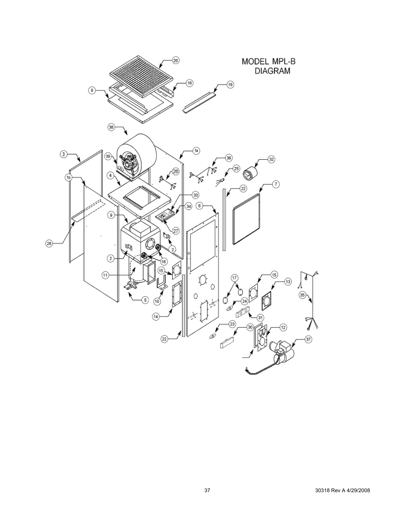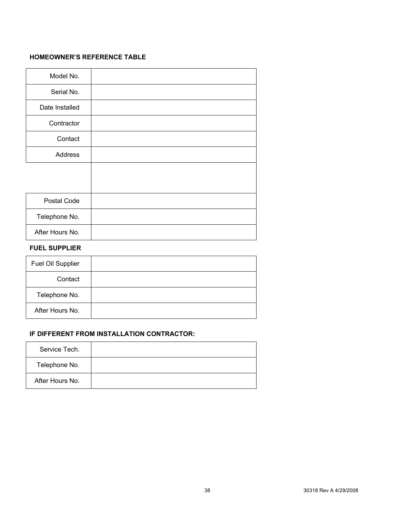### <span id="page-37-0"></span>**HOMEOWNER'S REFERENCE TABLE**

<span id="page-37-1"></span>

| Model No.       |  |
|-----------------|--|
| Serial No.      |  |
| Date Installed  |  |
| Contractor      |  |
| Contact         |  |
| Address         |  |
|                 |  |
|                 |  |
| Postal Code     |  |
| Telephone No.   |  |
| After Hours No. |  |

## **FUEL SUPPLIER**

| Fuel Oil Supplier |  |
|-------------------|--|
| Contact           |  |
| Telephone No.     |  |
| After Hours No.   |  |

## **IF DIFFERENT FROM INSTALLATION CONTRACTOR:**

| Service Tech.   |  |
|-----------------|--|
| Telephone No.   |  |
| After Hours No. |  |